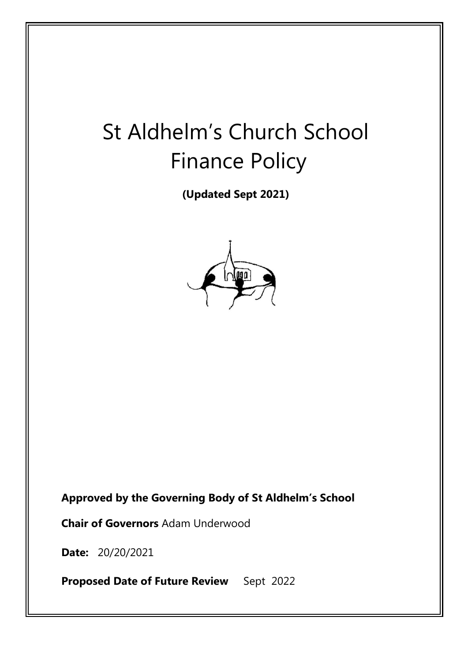# St Aldhelm's Church School Finance Policy

**(Updated Sept 2021)**



**Approved by the Governing Body of St Aldhelm's School**

**Chair of Governors** Adam Underwood

**Date:** 20/20/2021

**Proposed Date of Future Review** Sept 2022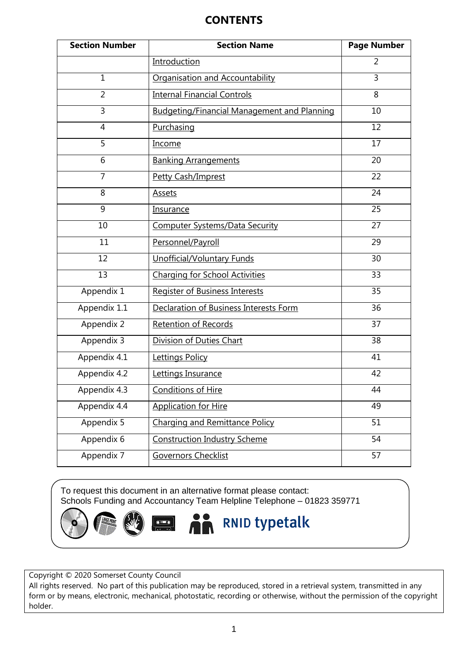### **CONTENTS**

<span id="page-1-1"></span><span id="page-1-0"></span>

| <b>Section Number</b> | <b>Section Name</b>                                | <b>Page Number</b> |
|-----------------------|----------------------------------------------------|--------------------|
|                       | Introduction                                       | 2                  |
| $\overline{1}$        | Organisation and Accountability                    | $\overline{3}$     |
| $\overline{2}$        | <b>Internal Financial Controls</b>                 | 8                  |
| 3                     | <b>Budgeting/Financial Management and Planning</b> | 10                 |
| 4                     | Purchasing                                         | 12                 |
| 5                     | Income                                             | 17                 |
| 6                     | <b>Banking Arrangements</b>                        | 20                 |
| $\overline{7}$        | Petty Cash/Imprest                                 | 22                 |
| 8                     | <b>Assets</b>                                      | 24                 |
| 9                     | Insurance                                          | 25                 |
| 10                    | <b>Computer Systems/Data Security</b>              | 27                 |
| 11                    | Personnel/Payroll                                  | 29                 |
| 12                    | Unofficial/Voluntary Funds                         | 30                 |
| 13                    | <b>Charging for School Activities</b>              | 33                 |
| Appendix 1            | <b>Register of Business Interests</b>              | 35                 |
| Appendix 1.1          | Declaration of Business Interests Form             | 36                 |
| Appendix 2            | <b>Retention of Records</b>                        | 37                 |
| Appendix 3            | <b>Division of Duties Chart</b>                    | 38                 |
| Appendix 4.1          | Lettings Policy                                    | 41                 |
| Appendix 4.2          | Lettings Insurance                                 | 42                 |
| Appendix 4.3          | Conditions of Hire                                 | 44                 |
| Appendix 4.4          | <b>Application for Hire</b>                        | 49                 |
| Appendix 5            | Charging and Remittance Policy                     | $\overline{51}$    |
| Appendix 6            | <b>Construction Industry Scheme</b>                | 54                 |
| Appendix 7            | <b>Governors Checklist</b>                         | $\overline{57}$    |

To request this document in an alternative format please contact: Schools Funding and Accountancy Team Helpline Telephone – 01823 359771

 $O(10^{-10})$ 

Copyright © 2020 Somerset County Council

All rights reserved. No part of this publication may be reproduced, stored in a retrieval system, transmitted in any form or by means, electronic, mechanical, photostatic, recording or otherwise, without the permission of the copyright holder.

RID typetalk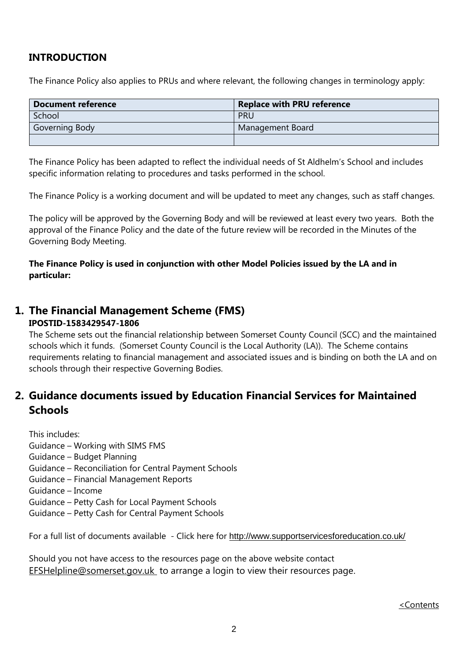### <span id="page-2-0"></span>**INTRODUCTION**

The Finance Policy also applies to PRUs and where relevant, the following changes in terminology apply:

| <b>Document reference</b> | <b>Replace with PRU reference</b> |
|---------------------------|-----------------------------------|
| School                    | <b>PRU</b>                        |
| Governing Body            | Management Board                  |
|                           |                                   |

The Finance Policy has been adapted to reflect the individual needs of St Aldhelm's School and includes specific information relating to procedures and tasks performed in the school.

The Finance Policy is a working document and will be updated to meet any changes, such as staff changes.

The policy will be approved by the Governing Body and will be reviewed at least every two years. Both the approval of the Finance Policy and the date of the future review will be recorded in the Minutes of the Governing Body Meeting.

#### **The Finance Policy is used in conjunction with other Model Policies issued by the LA and in particular:**

### **1. The Financial Management Scheme (FMS) IPOSTID-1583429547-1806**

The Scheme sets out the financial relationship between Somerset County Council (SCC) and the maintained schools which it funds. (Somerset County Council is the Local Authority (LA)). The Scheme contains requirements relating to financial management and associated issues and is binding on both the LA and on schools through their respective Governing Bodies.

### **2. Guidance documents issued by Education Financial Services for Maintained Schools**

This includes: Guidance – Working with SIMS FMS Guidance – Budget Planning Guidance – Reconciliation for Central Payment Schools Guidance – Financial Management Reports Guidance – Income Guidance – Petty Cash for Local Payment Schools Guidance – Petty Cash for Central Payment Schools

For a full list of documents available - Click here for <http://www.supportservicesforeducation.co.uk/>

<span id="page-2-1"></span>Should you not have access to the resources page on the above website contact [EFSHelpline@somerset.gov.uk](mailto:EFSHelpline@somerset.gov.uk) to arrange a login to view their resources page.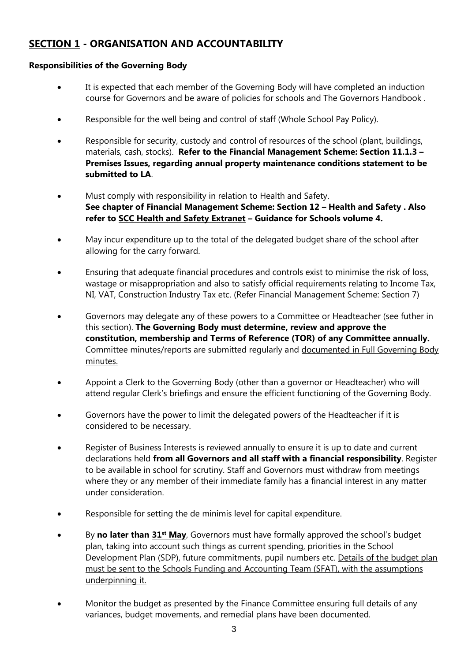### **SECTION 1 - ORGANISATION AND ACCOUNTABILITY**

#### **Responsibilities of the Governing Body**

- It is expected that each member of the Governing Body will have completed an induction course for Governors and be aware of policies for schools and [The Governors Handbook](https://www.gov.uk/government/publications/governance-handbook) .
- Responsible for the well being and control of staff (Whole School Pay Policy).
- Responsible for security, custody and control of resources of the school (plant, buildings, materials, cash, stocks). **Refer to the Financial Management Scheme: Section 11.1.3 – Premises Issues, regarding annual property maintenance conditions statement to be submitted to LA**.
- Must comply with responsibility in relation to Health and Safety. **See chapter of Financial Management Scheme: Section 12 – Health and Safety . Also refer to [SCC Health and Safety Extranet](http://extranet.somerset.gov.uk/health-and-safety/) – Guidance for Schools volume 4.**
- May incur expenditure up to the total of the delegated budget share of the school after allowing for the carry forward.
- Ensuring that adequate financial procedures and controls exist to minimise the risk of loss, wastage or misappropriation and also to satisfy official requirements relating to Income Tax, NI, VAT, Construction Industry Tax etc. (Refer Financial Management Scheme: Section 7)
- Governors may delegate any of these powers to a Committee or Headteacher (see futher in this section). **The Governing Body must determine, review and approve the constitution, membership and Terms of Reference (TOR) of any Committee annually.** Committee minutes/reports are submitted regularly and documented in Full Governing Body minutes.
- Appoint a Clerk to the Governing Body (other than a governor or Headteacher) who will attend regular Clerk's briefings and ensure the efficient functioning of the Governing Body.
- Governors have the power to limit the delegated powers of the Headteacher if it is considered to be necessary.
- Register of Business Interests is reviewed annually to ensure it is up to date and current declarations held **from all Governors and all staff with a financial responsibility**. Register to be available in school for scrutiny. Staff and Governors must withdraw from meetings where they or any member of their immediate family has a financial interest in any matter under consideration.
- Responsible for setting the de minimis level for capital expenditure.
- By **no later than 31st May**, Governors must have formally approved the school's budget plan, taking into account such things as current spending, priorities in the School Development Plan (SDP), future commitments, pupil numbers etc. Details of the budget plan must be sent to the Schools Funding and Accounting Team (SFAT), with the assumptions underpinning it.
- Monitor the budget as presented by the Finance Committee ensuring full details of any variances, budget movements, and remedial plans have been documented.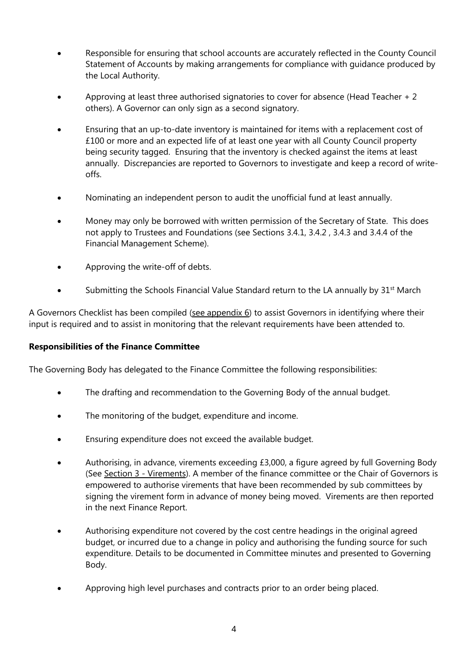- Responsible for ensuring that school accounts are accurately reflected in the County Council Statement of Accounts by making arrangements for compliance with guidance produced by the Local Authority.
- Approving at least three authorised signatories to cover for absence (Head Teacher + 2 others). A Governor can only sign as a second signatory.
- Ensuring that an up-to-date inventory is maintained for items with a replacement cost of £100 or more and an expected life of at least one year with all County Council property being security tagged. Ensuring that the inventory is checked against the items at least annually. Discrepancies are reported to Governors to investigate and keep a record of writeoffs.
- Nominating an independent person to audit the unofficial fund at least annually.
- Money may only be borrowed with written permission of the Secretary of State. This does not apply to Trustees and Foundations (see Sections 3.4.1, 3.4.2 , 3.4.3 and 3.4.4 of the Financial Management Scheme).
- Approving the write-off of debts.
- $\bullet$  Submitting the Schools Financial Value Standard return to the LA annually by 31<sup>st</sup> March

A Governors Checklist has been compiled [\(see appendix 6](#page-55-1)) to assist Governors in identifying where their input is required and to assist in monitoring that the relevant requirements have been attended to.

#### **Responsibilities of the Finance Committee**

The Governing Body has delegated to the Finance Committee the following responsibilities:

- The drafting and recommendation to the Governing Body of the annual budget.
- The monitoring of the budget, expenditure and income.
- <span id="page-4-0"></span>Ensuring expenditure does not exceed the available budget.
- Authorising, in advance, virements exceeding £3,000, a figure agreed by full Governing Body (See [Section 3 -](#page-11-0) Virements). A member of the finance committee or the Chair of Governors is empowered to authorise virements that have been recommended by sub committees by signing the virement form in advance of money being moved. Virements are then reported in the next Finance Report.
- Authorising expenditure not covered by the cost centre headings in the original agreed budget, or incurred due to a change in policy and authorising the funding source for such expenditure. Details to be documented in Committee minutes and presented to Governing Body.
- Approving high level purchases and contracts prior to an order being placed.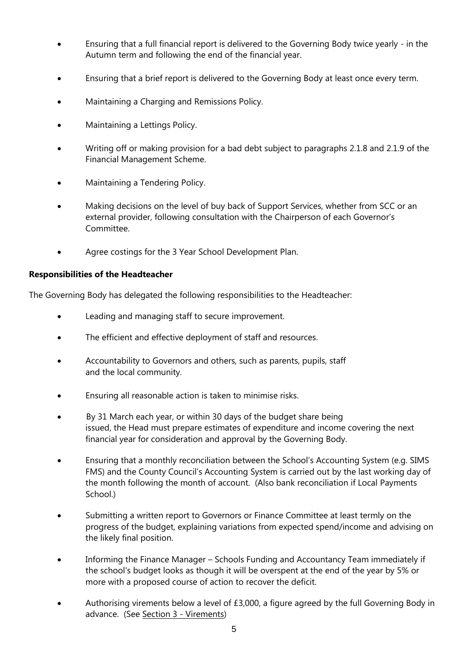- Ensuring that a full financial report is delivered to the Governing Body twice yearly in the Autumn term and following the end of the financial year.
- Ensuring that a brief report is delivered to the Governing Body at least once every term.
- Maintaining a Charging and Remissions Policy.
- Maintaining a Lettings Policy.
- Writing off or making provision for a bad debt subject to paragraphs 2.1.8 and 2.1.9 of the Financial Management Scheme.
- Maintaining a Tendering Policy.
- Making decisions on the level of buy back of Support Services, whether from SCC or an external provider, following consultation with the Chairperson of each Governor's Committee.
- Agree costings for the 3 Year School Development Plan.

#### **Responsibilities of the Headteacher**

The Governing Body has delegated the following responsibilities to the Headteacher:

- Leading and managing staff to secure improvement.
- The efficient and effective deployment of staff and resources.
- Accountability to Governors and others, such as parents, pupils, staff and the local community.
- Ensuring all reasonable action is taken to minimise risks.
- By 31 March each year, or within 30 days of the budget share being issued, the Head must prepare estimates of expenditure and income covering the next financial year for consideration and approval by the Governing Body.
- Ensuring that a monthly reconciliation between the School's Accounting System (e.g. SIMS FMS) and the County Council's Accounting System is carried out by the last working day of the month following the month of account. (Also bank reconciliation if Local Payments School.)
- Submitting a written report to Governors or Finance Committee at least termly on the progress of the budget, explaining variations from expected spend/income and advising on the likely final position.
- Informing the Finance Manager Schools Funding and Accountancy Team immediately if the school's budget looks as though it will be overspent at the end of the year by 5% or more with a proposed course of action to recover the deficit.
- Authorising virements below a level of £3,000, a figure agreed by the full Governing Body in advance. (See [Section 3 -](#page-11-0) Virements)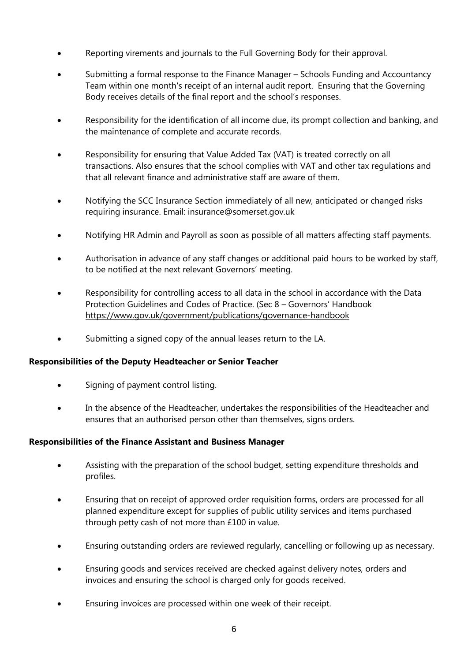- Reporting virements and journals to the Full Governing Body for their approval.
- Submitting a formal response to the Finance Manager Schools Funding and Accountancy Team within one month's receipt of an internal audit report. Ensuring that the Governing Body receives details of the final report and the school's responses.
- Responsibility for the identification of all income due, its prompt collection and banking, and the maintenance of complete and accurate records.
- Responsibility for ensuring that Value Added Tax (VAT) is treated correctly on all transactions. Also ensures that the school complies with VAT and other tax regulations and that all relevant finance and administrative staff are aware of them.
- Notifying the SCC Insurance Section immediately of all new, anticipated or changed risks requiring insurance. Email: [insurance@somerset.gov.uk](mailto:insurance@somerset.gov.uk)
- Notifying HR Admin and Payroll as soon as possible of all matters affecting staff payments.
- Authorisation in advance of any staff changes or additional paid hours to be worked by staff, to be notified at the next relevant Governors' meeting.
- Responsibility for controlling access to all data in the school in accordance with the Data Protection Guidelines and Codes of Practice. (Sec 8 – Governors' Handbook <https://www.gov.uk/government/publications/governance-handbook>
- Submitting a signed copy of the annual leases return to the LA.

#### **Responsibilities of the Deputy Headteacher or Senior Teacher**

- Signing of payment control listing.
- In the absence of the Headteacher, undertakes the responsibilities of the Headteacher and ensures that an authorised person other than themselves, signs orders.

#### **Responsibilities of the Finance Assistant and Business Manager**

- Assisting with the preparation of the school budget, setting expenditure thresholds and profiles.
- Ensuring that on receipt of approved order requisition forms, orders are processed for all planned expenditure except for supplies of public utility services and items purchased through petty cash of not more than £100 in value.
- Ensuring outstanding orders are reviewed regularly, cancelling or following up as necessary.
- Ensuring goods and services received are checked against delivery notes, orders and invoices and ensuring the school is charged only for goods received.
- Ensuring invoices are processed within one week of their receipt.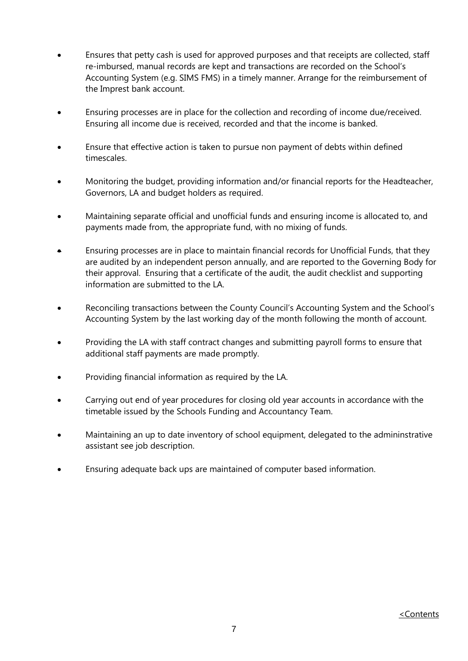- Ensures that petty cash is used for approved purposes and that receipts are collected, staff re-imbursed, manual records are kept and transactions are recorded on the School's Accounting System (e.g. SIMS FMS) in a timely manner. Arrange for the reimbursement of the Imprest bank account.
- Ensuring processes are in place for the collection and recording of income due/received. Ensuring all income due is received, recorded and that the income is banked.
- Ensure that effective action is taken to pursue non payment of debts within defined timescales.
- Monitoring the budget, providing information and/or financial reports for the Headteacher, Governors, LA and budget holders as required.
- Maintaining separate official and unofficial funds and ensuring income is allocated to, and payments made from, the appropriate fund, with no mixing of funds.
- Ensuring processes are in place to maintain financial records for Unofficial Funds, that they are audited by an independent person annually, and are reported to the Governing Body for their approval. Ensuring that a certificate of the audit, the audit checklist and supporting information are submitted to the LA.
- Reconciling transactions between the County Council's Accounting System and the School's Accounting System by the last working day of the month following the month of account.
- Providing the LA with staff contract changes and submitting payroll forms to ensure that additional staff payments are made promptly.
- Providing financial information as required by the LA.
- Carrying out end of year procedures for closing old year accounts in accordance with the timetable issued by the Schools Funding and Accountancy Team.
- Maintaining an up to date inventory of school equipment, delegated to the admininstrative assistant see job description.
- Ensuring adequate back ups are maintained of computer based information.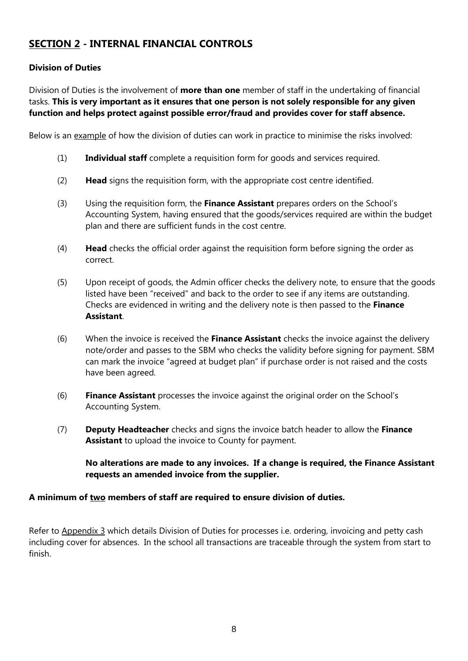### <span id="page-8-0"></span>**SECTION 2 - INTERNAL FINANCIAL CONTROLS**

#### **Division of Duties**

Division of Duties is the involvement of **more than one** member of staff in the undertaking of financial tasks. **This is very important as it ensures that one person is not solely responsible for any given function and helps protect against possible error/fraud and provides cover for staff absence.**

Below is an example of how the division of duties can work in practice to minimise the risks involved:

- (1) **Individual staff** complete a requisition form for goods and services required.
- (2) **Head** signs the requisition form, with the appropriate cost centre identified.
- (3) Using the requisition form, the **Finance Assistant** prepares orders on the School's Accounting System, having ensured that the goods/services required are within the budget plan and there are sufficient funds in the cost centre.
- (4) **Head** checks the official order against the requisition form before signing the order as correct.
- (5) Upon receipt of goods, the Admin officer checks the delivery note, to ensure that the goods listed have been "received" and back to the order to see if any items are outstanding. Checks are evidenced in writing and the delivery note is then passed to the **Finance Assistant**.
- (6) When the invoice is received the **Finance Assistant** checks the invoice against the delivery note/order and passes to the SBM who checks the validity before signing for payment. SBM can mark the invoice "agreed at budget plan" if purchase order is not raised and the costs have been agreed.
- (6) **Finance Assistant** processes the invoice against the original order on the School's Accounting System.
- (7) **Deputy Headteacher** checks and signs the invoice batch header to allow the **Finance Assistant** to upload the invoice to County for payment.

**No alterations are made to any invoices. If a change is required, the Finance Assistant requests an amended invoice from the supplier.**

#### **A minimum of two members of staff are required to ensure division of duties.**

Refer to [Appendix 3](#page-36-0) which details Division of Duties for processes i.e. ordering, invoicing and petty cash including cover for absences. In the school all transactions are traceable through the system from start to finish.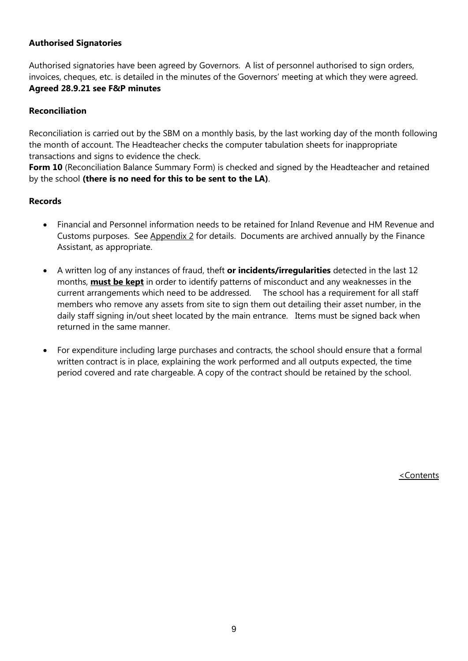#### **Authorised Signatories**

Authorised signatories have been agreed by Governors. A list of personnel authorised to sign orders, invoices, cheques, etc. is detailed in the minutes of the Governors' meeting at which they were agreed. **Agreed 28.9.21 see F&P minutes**

#### **Reconciliation**

Reconciliation is carried out by the SBM on a monthly basis, by the last working day of the month following the month of account. The Headteacher checks the computer tabulation sheets for inappropriate transactions and signs to evidence the check.

**Form 10** (Reconciliation Balance Summary Form) is checked and signed by the Headteacher and retained by the school **(there is no need for this to be sent to the LA)**.

#### **Records**

- Financial and Personnel information needs to be retained for Inland Revenue and HM Revenue and Customs purposes. See [Appendix 2](#page-34-1) for details. Documents are archived annually by the Finance Assistant, as appropriate.
- A written log of any instances of fraud, theft **or incidents/irregularities** detected in the last 12 months, **must be kept** in order to identify patterns of misconduct and any weaknesses in the current arrangements which need to be addressed. The school has a requirement for all staff members who remove any assets from site to sign them out detailing their asset number, in the daily staff signing in/out sheet located by the main entrance. Items must be signed back when returned in the same manner.
- For expenditure including large purchases and contracts, the school should ensure that a formal written contract is in place, explaining the work performed and all outputs expected, the time period covered and rate chargeable. A copy of the contract should be retained by the school.

[<Contents](#page-1-0)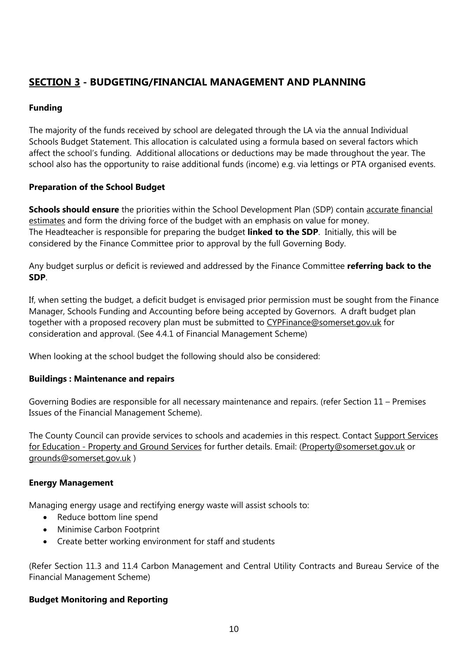### <span id="page-10-0"></span>**SECTION 3 - BUDGETING/FINANCIAL MANAGEMENT AND PLANNING**

#### **Funding**

The majority of the funds received by school are delegated through the LA via the annual Individual Schools Budget Statement. This allocation is calculated using a formula based on several factors which affect the school's funding. Additional allocations or deductions may be made throughout the year. The school also has the opportunity to raise additional funds (income) e.g. via lettings or PTA organised events.

#### **Preparation of the School Budget**

**Schools should ensure** the priorities within the School Development Plan (SDP) contain accurate financial estimates and form the driving force of the budget with an emphasis on value for money. The Headteacher is responsible for preparing the budget **linked to the SDP**. Initially, this will be considered by the Finance Committee prior to approval by the full Governing Body.

Any budget surplus or deficit is reviewed and addressed by the Finance Committee **referring back to the SDP**.

If, when setting the budget, a deficit budget is envisaged prior permission must be sought from the Finance Manager, Schools Funding and Accounting before being accepted by Governors. A draft budget plan together with a proposed recovery plan must be submitted to [CYPFinance@somerset.gov.uk](mailto:CYPFinance@somerset.gov.uk) for consideration and approval. (See 4.4.1 of Financial Management Scheme)

When looking at the school budget the following should also be considered:

#### **Buildings : Maintenance and repairs**

Governing Bodies are responsible for all necessary maintenance and repairs. (refer Section 11 – Premises Issues of the Financial Management Scheme).

The County Council can provide services to schools and academies in this respect. Contact [Support Services](http://www.supportservicesforeducation.co.uk/Services/3274)  for Education - [Property and Ground Services](http://www.supportservicesforeducation.co.uk/Services/3274) for further details. Email: [\(Property@somerset.gov.uk](mailto:Property@somerset.gov.uk) or [grounds@somerset.gov.uk](mailto:grounds@somerset.gov.uk) )

#### **Energy Management**

Managing energy usage and rectifying energy waste will assist schools to:

- Reduce bottom line spend
- Minimise Carbon Footprint
- Create better working environment for staff and students

(Refer Section 11.3 and 11.4 Carbon Management and Central Utility Contracts and Bureau Service of the Financial Management Scheme)

#### **Budget Monitoring and Reporting**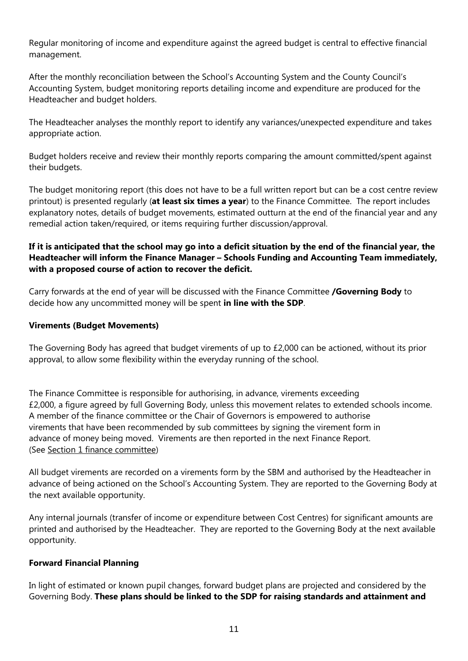Regular monitoring of income and expenditure against the agreed budget is central to effective financial management.

After the monthly reconciliation between the School's Accounting System and the County Council's Accounting System, budget monitoring reports detailing income and expenditure are produced for the Headteacher and budget holders.

The Headteacher analyses the monthly report to identify any variances/unexpected expenditure and takes appropriate action.

Budget holders receive and review their monthly reports comparing the amount committed/spent against their budgets.

The budget monitoring report (this does not have to be a full written report but can be a cost centre review printout) is presented regularly (**at least six times a year**) to the Finance Committee. The report includes explanatory notes, details of budget movements, estimated outturn at the end of the financial year and any remedial action taken/required, or items requiring further discussion/approval.

#### **If it is anticipated that the school may go into a deficit situation by the end of the financial year, the Headteacher will inform the Finance Manager – Schools Funding and Accounting Team immediately, with a proposed course of action to recover the deficit.**

Carry forwards at the end of year will be discussed with the Finance Committee **/Governing Body** to decide how any uncommitted money will be spent **in line with the SDP**.

#### <span id="page-11-0"></span>**Virements (Budget Movements)**

The Governing Body has agreed that budget virements of up to £2,000 can be actioned, without its prior approval, to allow some flexibility within the everyday running of the school.

The Finance Committee is responsible for authorising, in advance, virements exceeding £2,000, a figure agreed by full Governing Body, unless this movement relates to extended schools income. A member of the finance committee or the Chair of Governors is empowered to authorise virements that have been recommended by sub committees by signing the virement form in advance of money being moved. Virements are then reported in the next Finance Report. (See Section 1 finance [committee\)](#page-4-0)

All budget virements are recorded on a virements form by the SBM and authorised by the Headteacher in advance of being actioned on the School's Accounting System. They are reported to the Governing Body at the next available opportunity.

Any internal journals (transfer of income or expenditure between Cost Centres) for significant amounts are printed and authorised by the Headteacher. They are reported to the Governing Body at the next available opportunity.

#### **Forward Financial Planning**

In light of estimated or known pupil changes, forward budget plans are projected and considered by the Governing Body. **These plans should be linked to the SDP for raising standards and attainment and**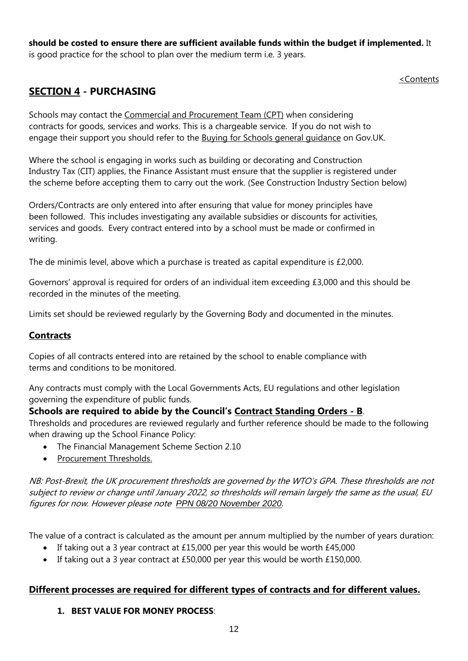#### **should be costed to ensure there are sufficient available funds within the budget if implemented.** It

is good practice for the school to plan over the medium term i.e. 3 years.

[<Contents](#page-1-0)

### <span id="page-12-0"></span>**SECTION 4 - PURCHASING**

Schools may contact the [Commercial and Procurement Team \(CPT\)](mailto:CommercialandProcurement@somerset.gov.uk) when considering contracts for goods, services and works. This is a chargeable service. If you do not wish to engage their support you should refer to the **Buying for Schools general guidance on Gov.UK**.

Where the school is engaging in works such as building or decorating and Construction Industry Tax (CIT) applies, the Finance Assistant must ensure that the supplier is registered under the scheme before accepting them to carry out the work. (See Construction Industry Section below)

Orders/Contracts are only entered into after ensuring that value for money principles have been followed. This includes investigating any available subsidies or discounts for activities, services and goods. Every contract entered into by a school must be made or confirmed in writing.

The de minimis level, above which a purchase is treated as capital expenditure is £2,000.

Governors' approval is required for orders of an individual item exceeding £3,000 and this should be recorded in the minutes of the meeting.

Limits set should be reviewed regularly by the Governing Body and documented in the minutes.

### **Contracts**

Copies of all contracts entered into are retained by the school to enable compliance with terms and conditions to be monitored.

Any contracts must comply with the Local Governments Acts, EU regulations and other legislation governing the expenditure of public funds.

### **Schools are required to abide by the Council's [Contract Standing Orders](http://www.somerset.gov.uk/EasysiteWeb/getresource.axd?AssetID=111088&type=full&servicetype=Attachment) - B**.

Thresholds and procedures are reviewed regularly and further reference should be made to the following when drawing up the School Finance Policy:

- The Financial Management Scheme Section 2.10
- [Procurement Thresholds.](https://www.gov.uk/government/publications/procurement-policy-note-new-thresholds-2020)

NB: Post-Brexit, the UK procurement thresholds are governed by the WTO's GPA. These thresholds are not subject to review or change until January 2022, so thresholds will remain largely the same as the usual, EU figures for now. However please note *[PPN 08/20 November 2020.](https://assets.publishing.service.gov.uk/government/uploads/system/uploads/attachment_data/file/937209/PPN_08_20_Procurement_Policy_Note_Introduction_of_Find_a_Tender.pdf)*

The value of a contract is calculated as the amount per annum multiplied by the number of years duration:

- If taking out a 3 year contract at £15,000 per year this would be worth £45,000
- If taking out a 3 year contract at £50,000 per year this would be worth £150,000.

### **Different processes are required for different types of contracts and for different values.**

**1. BEST VALUE FOR MONEY PROCESS**: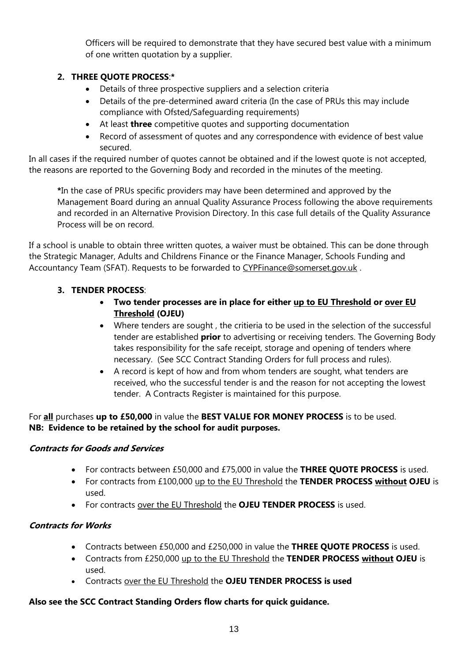Officers will be required to demonstrate that they have secured best value with a minimum of one written quotation by a supplier.

### **2. THREE QUOTE PROCESS**:**\***

- Details of three prospective suppliers and a selection criteria
- Details of the pre-determined award criteria (In the case of PRUs this may include compliance with Ofsted/Safeguarding requirements)
- At least **three** competitive quotes and supporting documentation
- Record of assessment of quotes and any correspondence with evidence of best value secured.

In all cases if the required number of quotes cannot be obtained and if the lowest quote is not accepted, the reasons are reported to the Governing Body and recorded in the minutes of the meeting.

**\***In the case of PRUs specific providers may have been determined and approved by the Management Board during an annual Quality Assurance Process following the above requirements and recorded in an Alternative Provision Directory. In this case full details of the Quality Assurance Process will be on record.

If a school is unable to obtain three written quotes, a waiver must be obtained. This can be done through the Strategic Manager, Adults and Childrens Finance or the Finance Manager, Schools Funding and Accountancy Team (SFAT). Requests to be forwarded to [CYPFinance@somerset.gov.uk](mailto:CYPFinance@somerset.gov.uk).

#### **3. TENDER PROCESS**:

- **Two tender processes are in place for either up to EU Threshold or over EU Threshold (OJEU)**
- Where tenders are sought, the critieria to be used in the selection of the successful tender are established **prior** to advertising or receiving tenders. The Governing Body takes responsibility for the safe receipt, storage and opening of tenders where necessary. (See SCC Contract Standing Orders for full process and rules).
- A record is kept of how and from whom tenders are sought, what tenders are received, who the successful tender is and the reason for not accepting the lowest tender. A Contracts Register is maintained for this purpose.

For **all** purchases **up to £50,000** in value the **BEST VALUE FOR MONEY PROCESS** is to be used. **NB: Evidence to be retained by the school for audit purposes.**

#### **Contracts for Goods and Services**

- For contracts between £50,000 and £75,000 in value the **THREE QUOTE PROCESS** is used.
- For contracts from £100,000 up to the EU Threshold the **TENDER PROCESS without OJEU** is used.
- For contracts over the EU Threshold the **OJEU TENDER PROCESS** is used.

#### **Contracts for Works**

- Contracts between £50,000 and £250,000 in value the **THREE QUOTE PROCESS** is used.
- Contracts from £250,000 up to the EU Threshold the **TENDER PROCESS without OJEU** is used.
- Contracts over the EU Threshold the **OJEU TENDER PROCESS is used**

#### **Also see the SCC Contract Standing Orders flow charts for quick guidance.**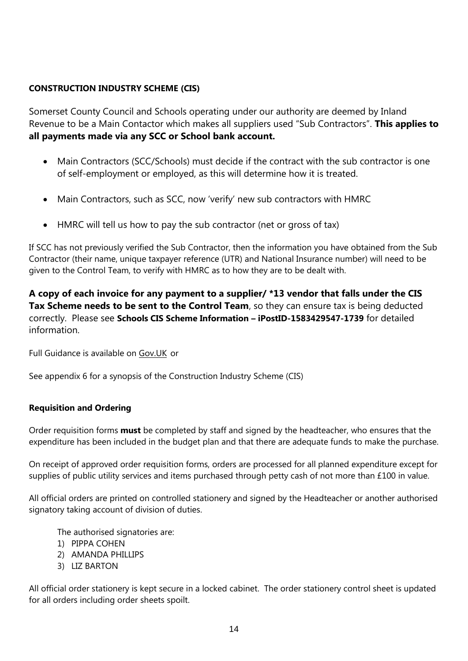#### **CONSTRUCTION INDUSTRY SCHEME (CIS)**

Somerset County Council and Schools operating under our authority are deemed by Inland Revenue to be a Main Contactor which makes all suppliers used "Sub Contractors". **This applies to all payments made via any SCC or School bank account.**

- Main Contractors (SCC/Schools) must decide if the contract with the sub contractor is one of self-employment or employed, as this will determine how it is treated.
- Main Contractors, such as SCC, now 'verify' new sub contractors with HMRC
- HMRC will tell us how to pay the sub contractor (net or gross of tax)

If SCC has not previously verified the Sub Contractor, then the information you have obtained from the Sub Contractor (their name, unique taxpayer reference (UTR) and National Insurance number) will need to be given to the Control Team, to verify with HMRC as to how they are to be dealt with.

**A copy of each invoice for any payment to a supplier/ \*13 vendor that falls under the CIS Tax Scheme needs to be sent to the Control Team**, so they can ensure tax is being deducted correctly. Please see **Schools CIS Scheme Information – iPostID-1583429547-1739** for detailed information.

Full Guidance is available on [Gov.UK](https://www.gov.uk/government/publications/construction-industry-scheme-cis-340/construction-industry-scheme-a-guide-for-contractors-and-subcontractors-cis-340) or

See appendix 6 for a synopsis of the Construction Industry Scheme (CIS)

#### **Requisition and Ordering**

Order requisition forms **must** be completed by staff and signed by the headteacher, who ensures that the expenditure has been included in the budget plan and that there are adequate funds to make the purchase.

On receipt of approved order requisition forms, orders are processed for all planned expenditure except for supplies of public utility services and items purchased through petty cash of not more than £100 in value.

All official orders are printed on controlled stationery and signed by the Headteacher or another authorised signatory taking account of division of duties.

The authorised signatories are:

- 1) PIPPA COHEN
- 2) AMANDA PHILLIPS
- 3) LIZ BARTON

All official order stationery is kept secure in a locked cabinet. The order stationery control sheet is updated for all orders including order sheets spoilt.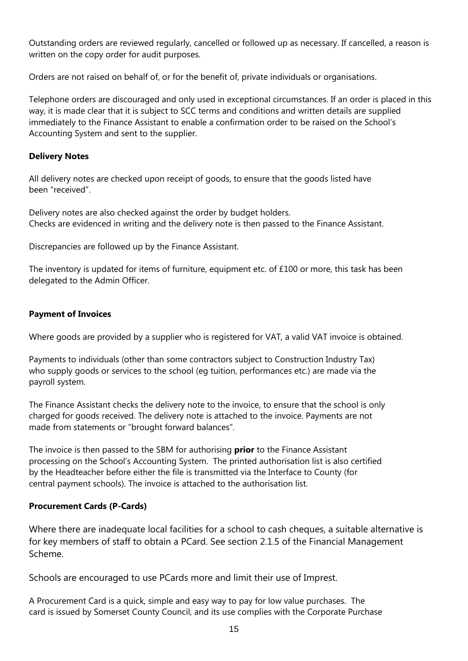Outstanding orders are reviewed regularly, cancelled or followed up as necessary. If cancelled, a reason is written on the copy order for audit purposes.

Orders are not raised on behalf of, or for the benefit of, private individuals or organisations.

Telephone orders are discouraged and only used in exceptional circumstances. If an order is placed in this way, it is made clear that it is subject to SCC terms and conditions and written details are supplied immediately to the Finance Assistant to enable a confirmation order to be raised on the School's Accounting System and sent to the supplier.

#### **Delivery Notes**

All delivery notes are checked upon receipt of goods, to ensure that the goods listed have been "received".

Delivery notes are also checked against the order by budget holders. Checks are evidenced in writing and the delivery note is then passed to the Finance Assistant.

Discrepancies are followed up by the Finance Assistant.

The inventory is updated for items of furniture, equipment etc. of £100 or more, this task has been delegated to the Admin Officer.

#### **Payment of Invoices**

Where goods are provided by a supplier who is registered for VAT, a valid VAT invoice is obtained.

Payments to individuals (other than some contractors subject to Construction Industry Tax) who supply goods or services to the school (eg tuition, performances etc.) are made via the payroll system.

The Finance Assistant checks the delivery note to the invoice, to ensure that the school is only charged for goods received. The delivery note is attached to the invoice. Payments are not made from statements or "brought forward balances".

The invoice is then passed to the SBM for authorising **prior** to the Finance Assistant processing on the School's Accounting System. The printed authorisation list is also certified by the Headteacher before either the file is transmitted via the Interface to County (for central payment schools). The invoice is attached to the authorisation list.

#### **Procurement Cards (P-Cards)**

Where there are inadequate local facilities for a school to cash cheques, a suitable alternative is for key members of staff to obtain a PCard. See section 2.1.5 of the Financial Management Scheme.

Schools are encouraged to use PCards more and limit their use of Imprest.

A Procurement Card is a quick, simple and easy way to pay for low value purchases. The card is issued by Somerset County Council, and its use complies with the Corporate Purchase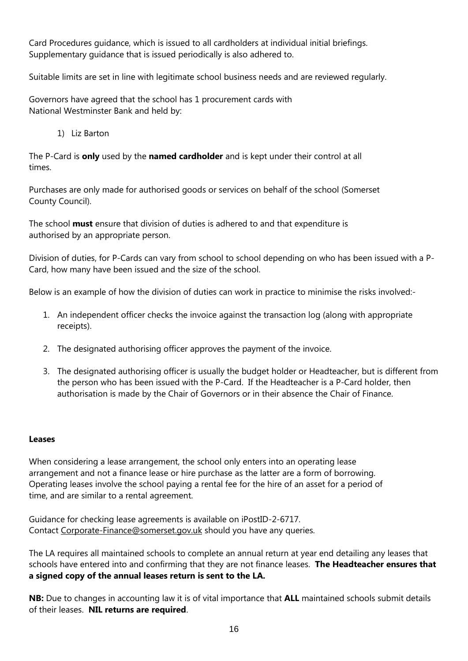Card Procedures guidance, which is issued to all cardholders at individual initial briefings. Supplementary guidance that is issued periodically is also adhered to.

Suitable limits are set in line with legitimate school business needs and are reviewed regularly.

Governors have agreed that the school has 1 procurement cards with National Westminster Bank and held by:

1) Liz Barton

The P-Card is **only** used by the **named cardholder** and is kept under their control at all times.

Purchases are only made for authorised goods or services on behalf of the school (Somerset County Council).

The school **must** ensure that division of duties is adhered to and that expenditure is authorised by an appropriate person.

Division of duties, for P-Cards can vary from school to school depending on who has been issued with a P-Card, how many have been issued and the size of the school.

Below is an example of how the division of duties can work in practice to minimise the risks involved:-

- 1. An independent officer checks the invoice against the transaction log (along with appropriate receipts).
- 2. The designated authorising officer approves the payment of the invoice.
- 3. The designated authorising officer is usually the budget holder or Headteacher, but is different from the person who has been issued with the P-Card. If the Headteacher is a P-Card holder, then authorisation is made by the Chair of Governors or in their absence the Chair of Finance.

#### **Leases**

When considering a lease arrangement, the school only enters into an operating lease arrangement and not a finance lease or hire purchase as the latter are a form of borrowing. Operating leases involve the school paying a rental fee for the hire of an asset for a period of time, and are similar to a rental agreement.

Guidance for checking lease agreements is available on iPostID-2-6717. Contact [Corporate-Finance@somerset.gov.uk](mailto:Corporate-Finance@somerset.gov.uk) should you have any queries.

The LA requires all maintained schools to complete an annual return at year end detailing any leases that schools have entered into and confirming that they are not finance leases. **The Headteacher ensures that a signed copy of the annual leases return is sent to the LA.**

**NB:** Due to changes in accounting law it is of vital importance that **ALL** maintained schools submit details of their leases. **NIL returns are required**.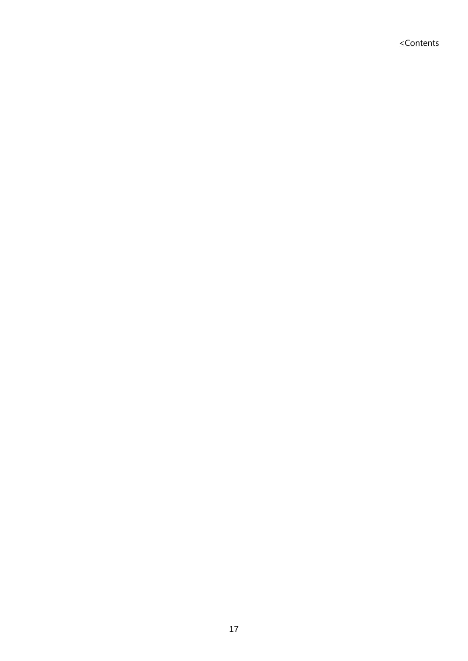### [<Contents](#page-1-0)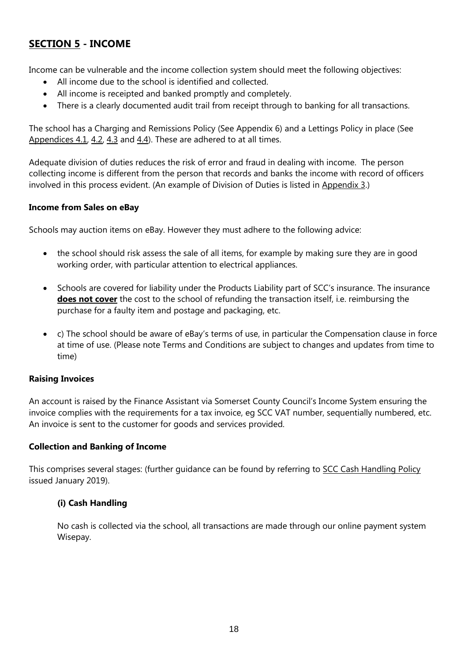### <span id="page-18-0"></span>**SECTION 5 - INCOME**

Income can be vulnerable and the income collection system should meet the following objectives:

- All income due to the school is identified and collected.
- All income is receipted and banked promptly and completely.
- There is a clearly documented audit trail from receipt through to banking for all transactions.

The school has a Charging and Remissions Policy (See Appendix 6) and a Lettings Policy in place (See [Appendices 4.1,](#page-39-0) [4.2,](#page-39-1) [4.3](#page-42-0) and [4.4\)](#page-47-0). These are adhered to at all times.

Adequate division of duties reduces the risk of error and fraud in dealing with income. The person collecting income is different from the person that records and banks the income with record of officers involved in this process evident. (An example of Division of Duties is listed in [Appendix 3.](#page-36-0))

#### **Income from Sales on eBay**

Schools may auction items on eBay. However they must adhere to the following advice:

- the school should risk assess the sale of all items, for example by making sure they are in good working order, with particular attention to electrical appliances.
- Schools are covered for liability under the Products Liability part of SCC's insurance. The insurance **does not cover** the cost to the school of refunding the transaction itself, i.e. reimbursing the purchase for a faulty item and postage and packaging, etc.
- c) The school should be aware of eBay's terms of use, in particular the Compensation clause in force at time of use. (Please note Terms and Conditions are subject to changes and updates from time to time)

#### **Raising Invoices**

An account is raised by the Finance Assistant via Somerset County Council's Income System ensuring the invoice complies with the requirements for a tax invoice, eg SCC VAT number, sequentially numbered, etc. An invoice is sent to the customer for goods and services provided.

#### **Collection and Banking of Income**

This comprises several stages: (further guidance can be found by referring to [SCC Cash Handling Policy](http://extranet.somerset.gov.uk/finance/accounts-receivable/) issued January 2019).

#### **(i) Cash Handling**

No cash is collected via the school, all transactions are made through our online payment system Wisepay.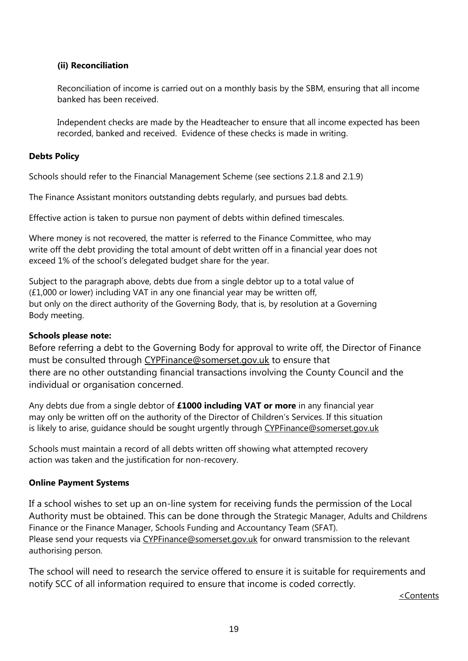#### **(ii) Reconciliation**

Reconciliation of income is carried out on a monthly basis by the SBM, ensuring that all income banked has been received.

Independent checks are made by the Headteacher to ensure that all income expected has been recorded, banked and received. Evidence of these checks is made in writing.

#### **Debts Policy**

Schools should refer to the Financial Management Scheme (see sections 2.1.8 and 2.1.9)

The Finance Assistant monitors outstanding debts regularly, and pursues bad debts.

Effective action is taken to pursue non payment of debts within defined timescales.

Where money is not recovered, the matter is referred to the Finance Committee, who may write off the debt providing the total amount of debt written off in a financial year does not exceed 1% of the school's delegated budget share for the year.

Subject to the paragraph above, debts due from a single debtor up to a total value of (£1,000 or lower) including VAT in any one financial year may be written off, but only on the direct authority of the Governing Body, that is, by resolution at a Governing Body meeting.

#### **Schools please note:**

Before referring a debt to the Governing Body for approval to write off, the Director of Finance must be consulted through [CYPFinance@somerset.gov.uk](mailto:CYPFinance@somerset.gov.uk) to ensure that there are no other outstanding financial transactions involving the County Council and the individual or organisation concerned.

Any debts due from a single debtor of **£1000 including VAT or more** in any financial year may only be written off on the authority of the Director of Children's Services. If this situation is likely to arise, guidance should be sought urgently through [CYPFinance@somerset.gov.uk](mailto:CYPFinance@somerset.gov.uk)

Schools must maintain a record of all debts written off showing what attempted recovery action was taken and the justification for non-recovery.

#### **Online Payment Systems**

If a school wishes to set up an on-line system for receiving funds the permission of the Local Authority must be obtained. This can be done through the Strategic Manager, Adults and Childrens Finance or the Finance Manager, Schools Funding and Accountancy Team (SFAT). Please send your requests via [CYPFinance@somerset.gov.uk](mailto:CYPFinance@somerset.gov.uk) for onward transmission to the relevant authorising person.

The school will need to research the service offered to ensure it is suitable for requirements and notify SCC of all information required to ensure that income is coded correctly.

[<Contents](#page-1-0)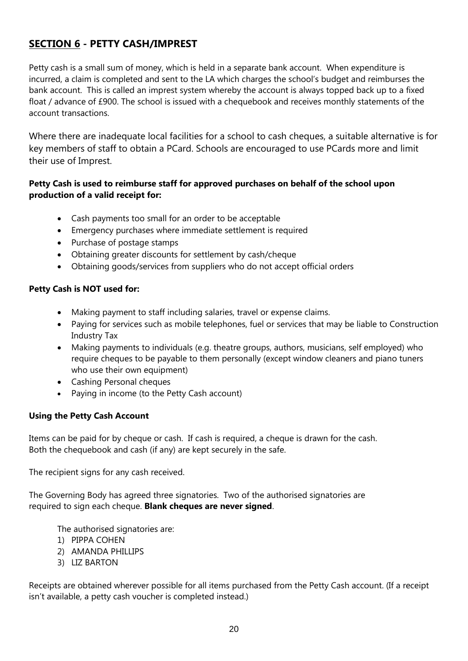### <span id="page-20-0"></span>**SECTION 6 - PETTY CASH/IMPREST**

Petty cash is a small sum of money, which is held in a separate bank account. When expenditure is incurred, a claim is completed and sent to the LA which charges the school's budget and reimburses the bank account. This is called an imprest system whereby the account is always topped back up to a fixed float / advance of £900. The school is issued with a chequebook and receives monthly statements of the account transactions.

Where there are inadequate local facilities for a school to cash cheques, a suitable alternative is for key members of staff to obtain a PCard. Schools are encouraged to use PCards more and limit their use of Imprest.

#### **Petty Cash is used to reimburse staff for approved purchases on behalf of the school upon production of a valid receipt for:**

- Cash payments too small for an order to be acceptable
- Emergency purchases where immediate settlement is required
- Purchase of postage stamps
- Obtaining greater discounts for settlement by cash/cheque
- Obtaining goods/services from suppliers who do not accept official orders

#### **Petty Cash is NOT used for:**

- Making payment to staff including salaries, travel or expense claims.
- Paying for services such as mobile telephones, fuel or services that may be liable to Construction Industry Tax
- Making payments to individuals (e.g. theatre groups, authors, musicians, self employed) who require cheques to be payable to them personally (except window cleaners and piano tuners who use their own equipment)
- Cashing Personal cheques
- Paying in income (to the Petty Cash account)

#### **Using the Petty Cash Account**

Items can be paid for by cheque or cash. If cash is required, a cheque is drawn for the cash. Both the chequebook and cash (if any) are kept securely in the safe.

The recipient signs for any cash received.

The Governing Body has agreed three signatories. Two of the authorised signatories are required to sign each cheque. **Blank cheques are never signed**.

The authorised signatories are:

- 1) PIPPA COHEN
- 2) AMANDA PHILLIPS
- 3) LIZ BARTON

Receipts are obtained wherever possible for all items purchased from the Petty Cash account. (If a receipt isn't available, a petty cash voucher is completed instead.)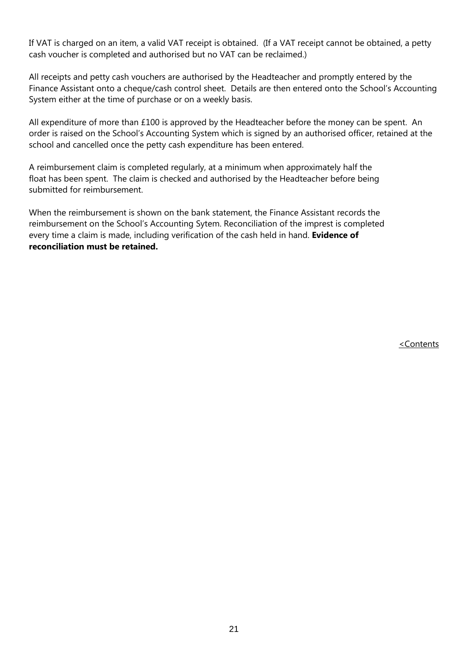If VAT is charged on an item, a valid VAT receipt is obtained. (If a VAT receipt cannot be obtained, a petty cash voucher is completed and authorised but no VAT can be reclaimed.)

All receipts and petty cash vouchers are authorised by the Headteacher and promptly entered by the Finance Assistant onto a cheque/cash control sheet. Details are then entered onto the School's Accounting System either at the time of purchase or on a weekly basis.

All expenditure of more than £100 is approved by the Headteacher before the money can be spent. An order is raised on the School's Accounting System which is signed by an authorised officer, retained at the school and cancelled once the petty cash expenditure has been entered.

A reimbursement claim is completed regularly, at a minimum when approximately half the float has been spent. The claim is checked and authorised by the Headteacher before being submitted for reimbursement.

When the reimbursement is shown on the bank statement, the Finance Assistant records the reimbursement on the School's Accounting Sytem. Reconciliation of the imprest is completed every time a claim is made, including verification of the cash held in hand. **Evidence of reconciliation must be retained.**

[<Contents](#page-1-0)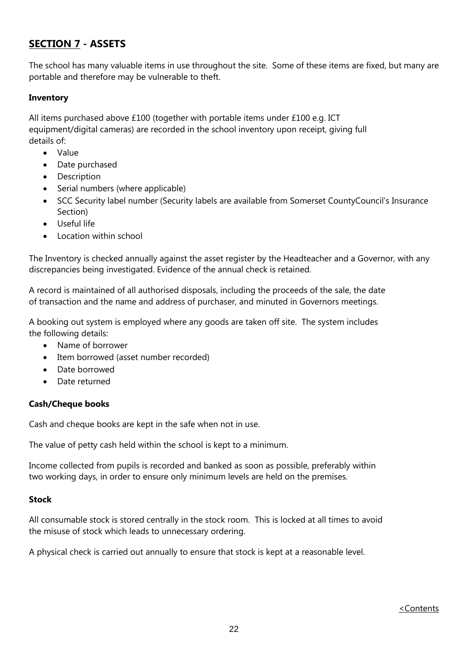### <span id="page-22-0"></span>**SECTION 7 - ASSETS**

The school has many valuable items in use throughout the site. Some of these items are fixed, but many are portable and therefore may be vulnerable to theft.

#### **Inventory**

All items purchased above £100 (together with portable items under £100 e.g. ICT equipment/digital cameras) are recorded in the school inventory upon receipt, giving full details of:

- Value
- Date purchased
- Description
- Serial numbers (where applicable)
- SCC Security label number (Security labels are available from Somerset CountyCouncil's Insurance Section)
- Useful life
- Location within school

The Inventory is checked annually against the asset register by the Headteacher and a Governor, with any discrepancies being investigated. Evidence of the annual check is retained.

A record is maintained of all authorised disposals, including the proceeds of the sale, the date of transaction and the name and address of purchaser, and minuted in Governors meetings.

A booking out system is employed where any goods are taken off site. The system includes the following details:

- Name of borrower
- Item borrowed (asset number recorded)
- Date borrowed
- Date returned

#### **Cash/Cheque books**

Cash and cheque books are kept in the safe when not in use.

The value of petty cash held within the school is kept to a minimum.

Income collected from pupils is recorded and banked as soon as possible, preferably within two working days, in order to ensure only minimum levels are held on the premises.

#### **Stock**

All consumable stock is stored centrally in the stock room. This is locked at all times to avoid the misuse of stock which leads to unnecessary ordering.

A physical check is carried out annually to ensure that stock is kept at a reasonable level.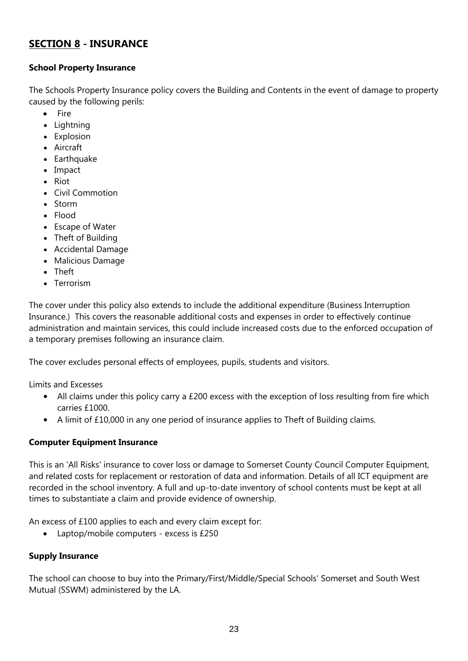### <span id="page-23-0"></span>**SECTION 8 - INSURANCE**

#### **School Property Insurance**

The Schools Property Insurance policy covers the Building and Contents in the event of damage to property caused by the following perils:

- $\bullet$  Fire
- Lightning
- Explosion
- Aircraft
- Earthquake
- Impact
- Riot
- Civil Commotion
- Storm
- Flood
- Escape of Water
- Theft of Building
- Accidental Damage
- Malicious Damage
- Theft
- **C**Ferrorism

The cover under this policy also extends to include the additional expenditure (Business Interruption Insurance.) This covers the reasonable additional costs and expenses in order to effectively continue administration and maintain services, this could include increased costs due to the enforced occupation of a temporary premises following an insurance claim.

The cover excludes personal effects of employees, pupils, students and visitors.

Limits and Excesses

- All claims under this policy carry a £200 excess with the exception of loss resulting from fire which carries £1000.
- A limit of £10,000 in any one period of insurance applies to Theft of Building claims.

#### **Computer Equipment Insurance**

This is an 'All Risks' insurance to cover loss or damage to Somerset County Council Computer Equipment, and related costs for replacement or restoration of data and information. Details of all ICT equipment are recorded in the school inventory. A full and up-to-date inventory of school contents must be kept at all times to substantiate a claim and provide evidence of ownership.

An excess of £100 applies to each and every claim except for:

• Laptop/mobile computers - excess is £250

#### **Supply Insurance**

The school can choose to buy into the Primary/First/Middle/Special Schools' Somerset and South West Mutual (SSWM) administered by the LA.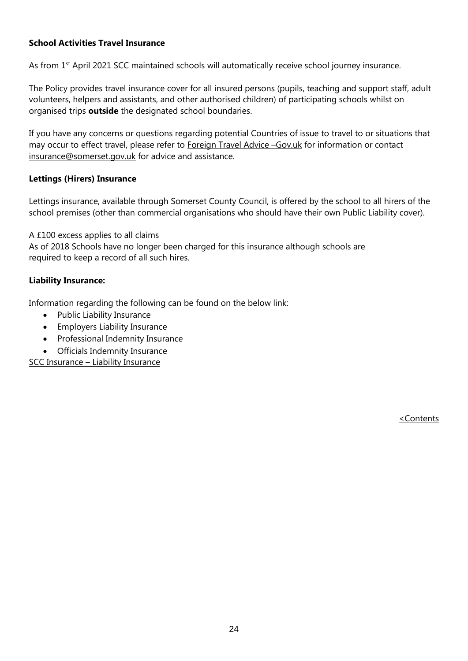#### **School Activities Travel Insurance**

As from 1<sup>st</sup> April 2021 SCC maintained schools will automatically receive school journey insurance.

The Policy provides travel insurance cover for all insured persons (pupils, teaching and support staff, adult volunteers, helpers and assistants, and other authorised children) of participating schools whilst on organised trips **outside** the designated school boundaries.

If you have any concerns or questions regarding potential Countries of issue to travel to or situations that may occur to effect travel, please refer to [Foreign Travel Advice](https://www.gov.uk/foreign-travel-advice) –Gov.uk for information or contact [insurance@somerset.gov.uk](mailto:insurance@somerset.gov.uk) for advice and assistance.

#### **Lettings (Hirers) Insurance**

Lettings insurance, available through Somerset County Council, is offered by the school to all hirers of the school premises (other than commercial organisations who should have their own Public Liability cover).

A £100 excess applies to all claims

As of 2018 Schools have no longer been charged for this insurance although schools are required to keep a record of all such hires.

#### **Liability Insurance:**

Information regarding the following can be found on the below link:

- Public Liability Insurance
- Employers Liability Insurance
- Professional Indemnity Insurance
- Officials Indemnity Insurance

SCC Insurance – [Liability Insurance](https://slp.somerset.org.uk/sites/insurance/SitePages/Liability%20Insurance.aspx)

[<Contents](#page-1-0)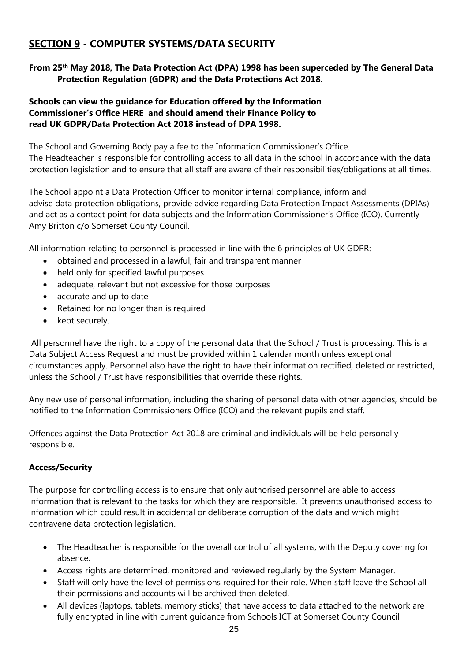### <span id="page-25-0"></span>**SECTION 9 - COMPUTER SYSTEMS/DATA SECURITY**

**From 25th May 2018, The Data Protection Act (DPA) 1998 has been superceded by The General Data Protection Regulation (GDPR) and the Data Protections Act 2018.**

#### **Schools can view the guidance for Education offered by the Information Commissioner's Office [HERE](https://ico.org.uk/for-organisations/education/) and should amend their Finance Policy to read UK GDPR/Data Protection Act 2018 instead of DPA 1998.**

The School and Governing Body pay a [fee to the Information Commissioner's Office](https://ico.org.uk/for-organisations/guide-to-data-protection/guide-to-the-general-data-protection-regulation-gdpr/data-protection-fee/). The Headteacher is responsible for controlling access to all data in the school in accordance with the data protection legislation and to ensure that all staff are aware of their responsibilities/obligations at all times.

The School appoint a Data Protection Officer to monitor internal compliance, inform and advise data protection obligations, provide advice regarding Data Protection Impact Assessments (DPIAs) and act as a contact point for data subjects and the Information Commissioner's Office (ICO). Currently Amy Britton c/o Somerset County Council.

All information relating to personnel is processed in line with the 6 principles of UK GDPR:

- obtained and processed in a lawful, fair and transparent manner
- held only for specified lawful purposes
- adequate, relevant but not excessive for those purposes
- accurate and up to date
- Retained for no longer than is required
- kept securely.

All personnel have the right to a copy of the personal data that the School / Trust is processing. This is a Data Subject Access Request and must be provided within 1 calendar month unless exceptional circumstances apply. Personnel also have the right to have their information rectified, deleted or restricted, unless the School / Trust have responsibilities that override these rights.

Any new use of personal information, including the sharing of personal data with other agencies, should be notified to the Information Commissioners Office (ICO) and the relevant pupils and staff.

Offences against the Data Protection Act 2018 are criminal and individuals will be held personally responsible.

#### **Access/Security**

The purpose for controlling access is to ensure that only authorised personnel are able to access information that is relevant to the tasks for which they are responsible. It prevents unauthorised access to information which could result in accidental or deliberate corruption of the data and which might contravene data protection legislation.

- The Headteacher is responsible for the overall control of all systems, with the Deputy covering for absence.
- Access rights are determined, monitored and reviewed regularly by the System Manager.
- Staff will only have the level of permissions required for their role. When staff leave the School all their permissions and accounts will be archived then deleted.
- All devices (laptops, tablets, memory sticks) that have access to data attached to the network are fully encrypted in line with current guidance from Schools ICT at Somerset County Council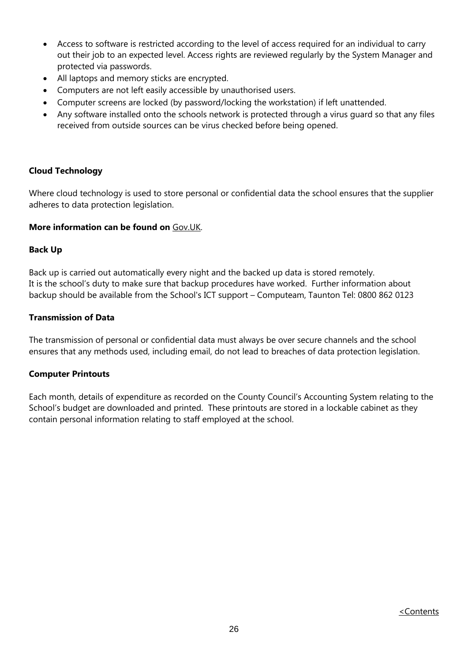- Access to software is restricted according to the level of access required for an individual to carry out their job to an expected level. Access rights are reviewed regularly by the System Manager and protected via passwords.
- All laptops and memory sticks are encrypted.
- Computers are not left easily accessible by unauthorised users.
- Computer screens are locked (by password/locking the workstation) if left unattended.
- Any software installed onto the schools network is protected through a virus guard so that any files received from outside sources can be virus checked before being opened.

#### **Cloud Technology**

Where cloud technology is used to store personal or confidential data the school ensures that the supplier adheres to data protection legislation.

#### **More information can be found on** [Gov.UK.](https://www.gov.uk/government/publications/cloud-software-services-and-the-data-protection-act)

#### **Back Up**

Back up is carried out automatically every night and the backed up data is stored remotely. It is the school's duty to make sure that backup procedures have worked. Further information about backup should be available from the School's ICT support – Computeam, Taunton Tel: 0800 862 0123

#### **Transmission of Data**

The transmission of personal or confidential data must always be over secure channels and the school ensures that any methods used, including email, do not lead to breaches of data protection legislation.

#### **Computer Printouts**

Each month, details of expenditure as recorded on the County Council's Accounting System relating to the School's budget are downloaded and printed. These printouts are stored in a lockable cabinet as they contain personal information relating to staff employed at the school.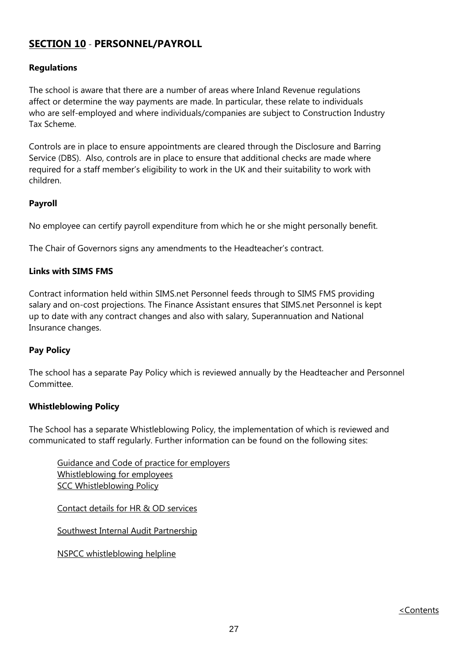### <span id="page-27-0"></span>**SECTION 10** - **PERSONNEL/PAYROLL**

#### **Regulations**

The school is aware that there are a number of areas where Inland Revenue regulations affect or determine the way payments are made. In particular, these relate to individuals who are self-employed and where individuals/companies are subject to Construction Industry Tax Scheme.

Controls are in place to ensure appointments are cleared through the Disclosure and Barring Service (DBS). Also, controls are in place to ensure that additional checks are made where required for a staff member's eligibility to work in the UK and their suitability to work with children.

#### **Payroll**

No employee can certify payroll expenditure from which he or she might personally benefit.

The Chair of Governors signs any amendments to the Headteacher's contract.

#### **Links with SIMS FMS**

Contract information held within SIMS.net Personnel feeds through to SIMS FMS providing salary and on-cost projections. The Finance Assistant ensures that SIMS.net Personnel is kept up to date with any contract changes and also with salary, Superannuation and National Insurance changes.

#### **Pay Policy**

The school has a separate Pay Policy which is reviewed annually by the Headteacher and Personnel Committee.

#### **Whistleblowing Policy**

The School has a separate Whistleblowing Policy, the implementation of which is reviewed and communicated to staff regularly. Further information can be found on the following sites:

[Guidance and Code of practice for employers](https://www.gov.uk/government/publications/whistleblowing-guidance-and-code-of-practice-for-employers) [Whistleblowing for employees](https://www.gov.uk/whistleblowing) [SCC Whistleblowing Policy](http://extranet.somerset.gov.uk/hr/employment-information/whistleblowing/?assetdet964527=38647)

[Contact details for HR & OD services](http://extranet.somerset.gov.uk/hr/contact-us/)

[Southwest Internal Audit Partnership](https://www.swapaudit.co.uk/)

[NSPCC whistleblowing helpline](https://www.gov.uk/government/news/home-office-launches-child-abuse-whistleblowing-helpline)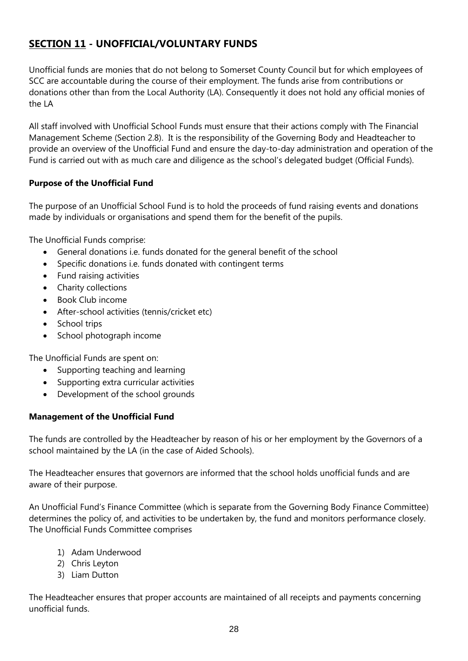### <span id="page-28-0"></span>**SECTION 11 - UNOFFICIAL/VOLUNTARY FUNDS**

Unofficial funds are monies that do not belong to Somerset County Council but for which employees of SCC are accountable during the course of their employment. The funds arise from contributions or donations other than from the Local Authority (LA). Consequently it does not hold any official monies of the LA

All staff involved with Unofficial School Funds must ensure that their actions comply with The Financial Management Scheme (Section 2.8). It is the responsibility of the Governing Body and Headteacher to provide an overview of the Unofficial Fund and ensure the day-to-day administration and operation of the Fund is carried out with as much care and diligence as the school's delegated budget (Official Funds).

#### **Purpose of the Unofficial Fund**

The purpose of an Unofficial School Fund is to hold the proceeds of fund raising events and donations made by individuals or organisations and spend them for the benefit of the pupils.

The Unofficial Funds comprise:

- General donations i.e. funds donated for the general benefit of the school
- Specific donations i.e. funds donated with contingent terms
- Fund raising activities
- Charity collections
- Book Club income
- After-school activities (tennis/cricket etc)
- School trips
- School photograph income

The Unofficial Funds are spent on:

- Supporting teaching and learning
- Supporting extra curricular activities
- Development of the school grounds

#### **Management of the Unofficial Fund**

The funds are controlled by the Headteacher by reason of his or her employment by the Governors of a school maintained by the LA (in the case of Aided Schools).

The Headteacher ensures that governors are informed that the school holds unofficial funds and are aware of their purpose.

An Unofficial Fund's Finance Committee (which is separate from the Governing Body Finance Committee) determines the policy of, and activities to be undertaken by, the fund and monitors performance closely. The Unofficial Funds Committee comprises

- 1) Adam Underwood
- 2) Chris Leyton
- 3) Liam Dutton

The Headteacher ensures that proper accounts are maintained of all receipts and payments concerning unofficial funds.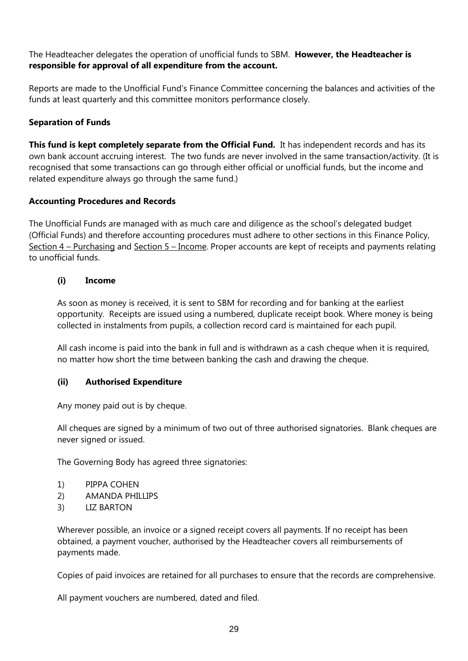The Headteacher delegates the operation of unofficial funds to SBM. **However, the Headteacher is responsible for approval of all expenditure from the account.**

Reports are made to the Unofficial Fund's Finance Committee concerning the balances and activities of the funds at least quarterly and this committee monitors performance closely.

#### **Separation of Funds**

**This fund is kept completely separate from the Official Fund.** It has independent records and has its own bank account accruing interest. The two funds are never involved in the same transaction/activity. (It is recognised that some transactions can go through either official or unofficial funds, but the income and related expenditure always go through the same fund.)

#### **Accounting Procedures and Records**

The Unofficial Funds are managed with as much care and diligence as the school's delegated budget (Official Funds) and therefore accounting procedures must adhere to other sections in this Finance Policy, Section 4 – [Purchasing](#page-12-0) and [Section 5](#page-18-0) – Income. Proper accounts are kept of receipts and payments relating to unofficial funds.

#### **(i) Income**

As soon as money is received, it is sent to SBM for recording and for banking at the earliest opportunity. Receipts are issued using a numbered, duplicate receipt book. Where money is being collected in instalments from pupils, a collection record card is maintained for each pupil.

All cash income is paid into the bank in full and is withdrawn as a cash cheque when it is required, no matter how short the time between banking the cash and drawing the cheque.

#### **(ii) Authorised Expenditure**

Any money paid out is by cheque.

All cheques are signed by a minimum of two out of three authorised signatories. Blank cheques are never signed or issued.

The Governing Body has agreed three signatories:

- 1) PIPPA COHEN
- 2) AMANDA PHILLIPS
- 3) LIZ BARTON

Wherever possible, an invoice or a signed receipt covers all payments. If no receipt has been obtained, a payment voucher, authorised by the Headteacher covers all reimbursements of payments made.

Copies of paid invoices are retained for all purchases to ensure that the records are comprehensive.

All payment vouchers are numbered, dated and filed.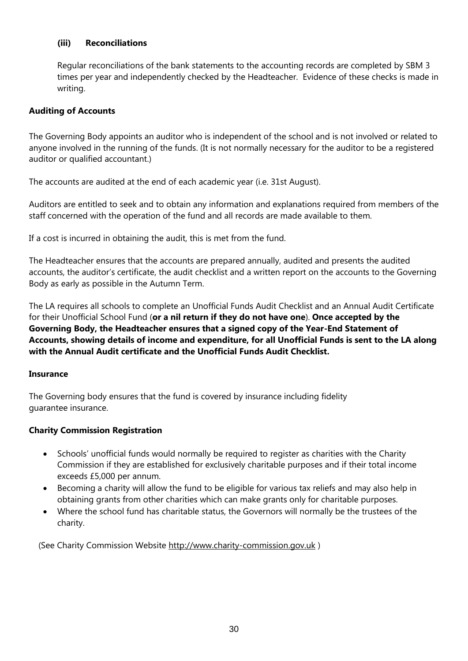#### **(iii) Reconciliations**

Regular reconciliations of the bank statements to the accounting records are completed by SBM 3 times per year and independently checked by the Headteacher. Evidence of these checks is made in writing.

#### **Auditing of Accounts**

The Governing Body appoints an auditor who is independent of the school and is not involved or related to anyone involved in the running of the funds. (It is not normally necessary for the auditor to be a registered auditor or qualified accountant.)

The accounts are audited at the end of each academic year (i.e. 31st August).

Auditors are entitled to seek and to obtain any information and explanations required from members of the staff concerned with the operation of the fund and all records are made available to them.

If a cost is incurred in obtaining the audit, this is met from the fund.

The Headteacher ensures that the accounts are prepared annually, audited and presents the audited accounts, the auditor's certificate, the audit checklist and a written report on the accounts to the Governing Body as early as possible in the Autumn Term.

The LA requires all schools to complete an Unofficial Funds Audit Checklist and an Annual Audit Certificate for their Unofficial School Fund (**or a nil return if they do not have one**). **Once accepted by the Governing Body, the Headteacher ensures that a signed copy of the Year-End Statement of Accounts, showing details of income and expenditure, for all Unofficial Funds is sent to the LA along with the Annual Audit certificate and the Unofficial Funds Audit Checklist.**

#### **Insurance**

The Governing body ensures that the fund is covered by insurance including fidelity guarantee insurance.

#### **Charity Commission Registration**

- Schools' unofficial funds would normally be required to register as charities with the Charity Commission if they are established for exclusively charitable purposes and if their total income exceeds £5,000 per annum.
- Becoming a charity will allow the fund to be eligible for various tax reliefs and may also help in obtaining grants from other charities which can make grants only for charitable purposes.
- Where the school fund has charitable status, the Governors will normally be the trustees of the charity.

(See Charity Commission Website [http://www.charity-commission.gov.uk](http://www.charity-commission.gov.uk/) )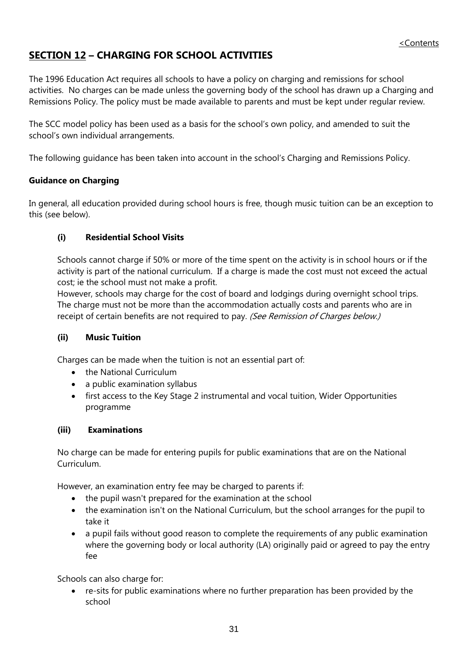### <span id="page-31-0"></span>**SECTION 12 – CHARGING FOR SCHOOL ACTIVITIES**

The 1996 Education Act requires all schools to have a policy on charging and remissions for school activities. No charges can be made unless the governing body of the school has drawn up a Charging and Remissions Policy. The policy must be made available to parents and must be kept under regular review.

The SCC model policy has been used as a basis for the school's own policy, and amended to suit the school's own individual arrangements.

The following guidance has been taken into account in the school's Charging and Remissions Policy.

#### **Guidance on Charging**

In general, all education provided during school hours is free, though music tuition can be an exception to this (see below).

#### **(i) Residential School Visits**

Schools cannot charge if 50% or more of the time spent on the activity is in school hours or if the activity is part of the national curriculum. If a charge is made the cost must not exceed the actual cost; ie the school must not make a profit.

However, schools may charge for the cost of board and lodgings during overnight school trips. The charge must not be more than the accommodation actually costs and parents who are in receipt of certain benefits are not required to pay. (See Remission of Charges below.)

#### **(ii) Music Tuition**

Charges can be made when the tuition is not an essential part of:

- the National Curriculum
- a public examination syllabus
- first access to the Key Stage 2 instrumental and vocal tuition, Wider Opportunities programme

#### **(iii) Examinations**

No charge can be made for entering pupils for public examinations that are on the National Curriculum.

However, an examination entry fee may be charged to parents if:

- the pupil wasn't prepared for the examination at the school
- the examination isn't on the National Curriculum, but the school arranges for the pupil to take it
- a pupil fails without good reason to complete the requirements of any public examination where the governing body or local authority (LA) originally paid or agreed to pay the entry fee

Schools can also charge for:

 re-sits for public examinations where no further preparation has been provided by the school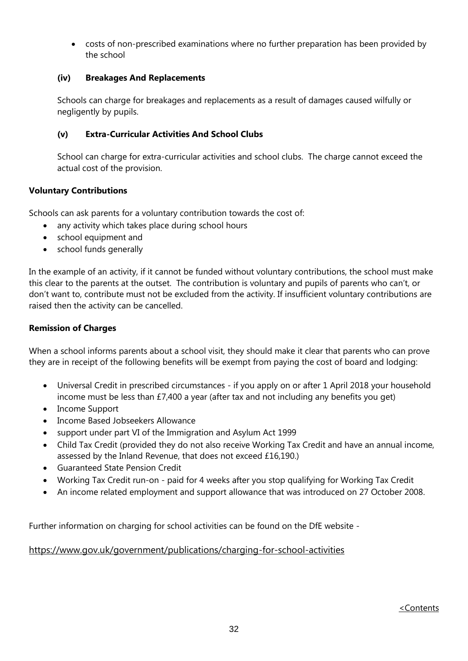costs of non-prescribed examinations where no further preparation has been provided by the school

#### **(iv) Breakages And Replacements**

Schools can charge for breakages and replacements as a result of damages caused wilfully or negligently by pupils.

#### **(v) Extra-Curricular Activities And School Clubs**

School can charge for extra-curricular activities and school clubs. The charge cannot exceed the actual cost of the provision.

#### **Voluntary Contributions**

Schools can ask parents for a voluntary contribution towards the cost of:

- any activity which takes place during school hours
- school equipment and
- school funds generally

In the example of an activity, if it cannot be funded without voluntary contributions, the school must make this clear to the parents at the outset. The contribution is voluntary and pupils of parents who can't, or don't want to, contribute must not be excluded from the activity. If insufficient voluntary contributions are raised then the activity can be cancelled.

#### **Remission of Charges**

When a school informs parents about a school visit, they should make it clear that parents who can prove they are in receipt of the following benefits will be exempt from paying the cost of board and lodging:

- Universal Credit in prescribed circumstances if you apply on or after 1 April 2018 your household income must be less than £7,400 a year (after tax and not including any benefits you get)
- Income Support
- Income Based Jobseekers Allowance
- support under part VI of the Immigration and Asylum Act 1999
- Child Tax Credit (provided they do not also receive Working Tax Credit and have an annual income, assessed by the Inland Revenue, that does not exceed £16,190.)
- Guaranteed State Pension Credit
- Working Tax Credit run-on paid for 4 weeks after you stop qualifying for Working Tax Credit
- <span id="page-32-0"></span>An income related employment and support allowance that was introduced on 27 October 2008.

Further information on charging for school activities can be found on the DfE website -

#### <https://www.gov.uk/government/publications/charging-for-school-activities>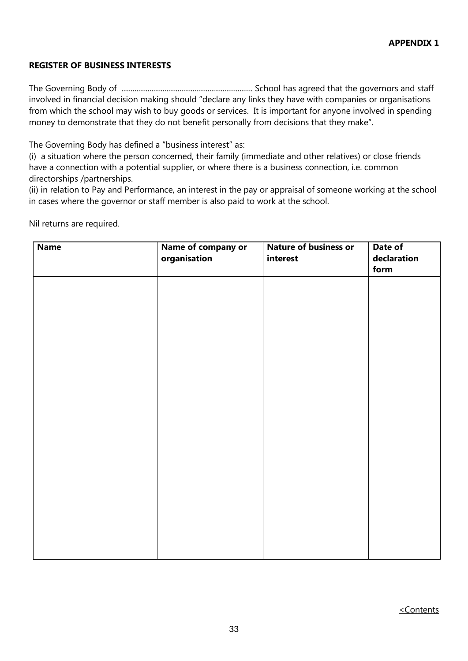#### **REGISTER OF BUSINESS INTERESTS**

The Governing Body of ...................................................................... School has agreed that the governors and staff involved in financial decision making should "declare any links they have with companies or organisations from which the school may wish to buy goods or services. It is important for anyone involved in spending money to demonstrate that they do not benefit personally from decisions that they make".

The Governing Body has defined a "business interest" as:

(i) a situation where the person concerned, their family (immediate and other relatives) or close friends have a connection with a potential supplier, or where there is a business connection, i.e. common directorships /partnerships.

(ii) in relation to Pay and Performance, an interest in the pay or appraisal of someone working at the school in cases where the governor or staff member is also paid to work at the school.

Nil returns are required.

| <b>Name</b> | Name of company or<br>organisation | <b>Nature of business or</b><br>interest | Date of<br>declaration<br>form |
|-------------|------------------------------------|------------------------------------------|--------------------------------|
|             |                                    |                                          |                                |
|             |                                    |                                          |                                |
|             |                                    |                                          |                                |
|             |                                    |                                          |                                |
|             |                                    |                                          |                                |
|             |                                    |                                          |                                |
|             |                                    |                                          |                                |
|             |                                    |                                          |                                |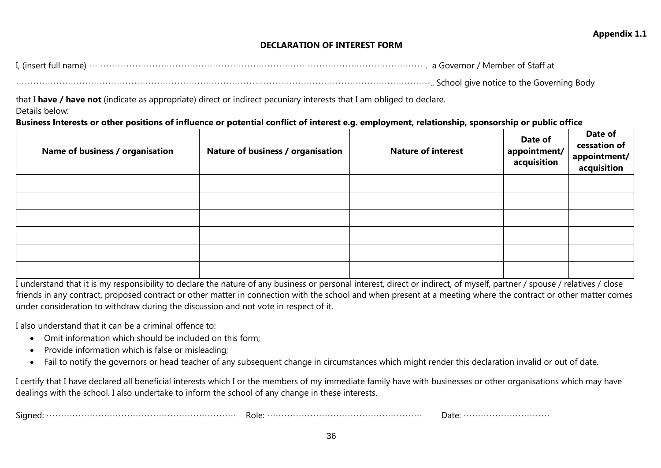#### **DECLARATION OF INTEREST FORM**

I, (insert full name) ………………………………………………………………………………………………………. a Governor / Member of Staff at

……………………………………………………………………………………………………………………………….. School give notice to the Governing Body

that I **have / have not** (indicate as appropriate) direct or indirect pecuniary interests that I am obliged to declare.

Details below:

**Business Interests or other positions of influence or potential conflict of interest e.g. employment, relationship, sponsorship or public office**

| Name of business / organisation | <b>Nature of business / organisation</b> | <b>Nature of interest</b> | Date of<br>appointment/<br>acquisition | Date of<br>cessation of<br>appointment/<br>acquisition |
|---------------------------------|------------------------------------------|---------------------------|----------------------------------------|--------------------------------------------------------|
|                                 |                                          |                           |                                        |                                                        |
|                                 |                                          |                           |                                        |                                                        |
|                                 |                                          |                           |                                        |                                                        |
|                                 |                                          |                           |                                        |                                                        |
|                                 |                                          |                           |                                        |                                                        |
|                                 |                                          |                           |                                        |                                                        |

<span id="page-34-0"></span>I understand that it is my responsibility to declare the nature of any business or personal interest, direct or indirect, of myself, partner / spouse / relatives / close friends in any contract, proposed contract or other matter in connection with the school and when present at a meeting where the contract or other matter comes under consideration to withdraw during the discussion and not vote in respect of it.

I also understand that it can be a criminal offence to:

- Omit information which should be included on this form;
- Provide information which is false or misleading;
- Fail to notify the governors or head teacher of any subsequent change in circumstances which might render this declaration invalid or out of date.

I certify that I have declared all beneficial interests which I or the members of my immediate family have with businesses or other organisations which may have dealings with the school. I also undertake to inform the school of any change in these interests.

<span id="page-34-1"></span>Signed: ………………………………………………………… Role: ……………………………………………… Date: …………………………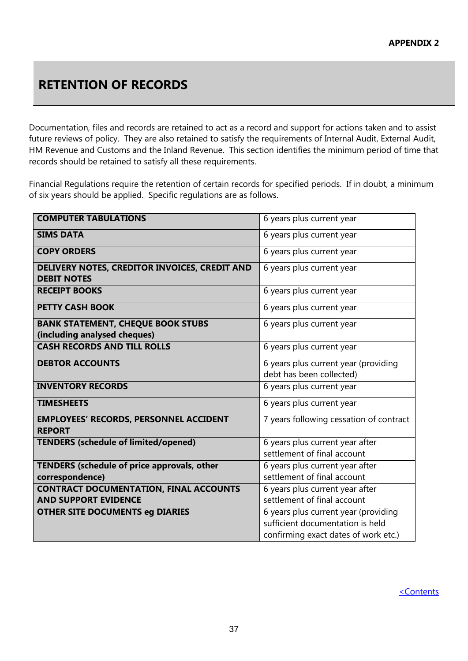### **RETENTION OF RECORDS**

Documentation, files and records are retained to act as a record and support for actions taken and to assist future reviews of policy. They are also retained to satisfy the requirements of Internal Audit, External Audit, HM Revenue and Customs and the Inland Revenue. This section identifies the minimum period of time that records should be retained to satisfy all these requirements.

Financial Regulations require the retention of certain records for specified periods. If in doubt, a minimum of six years should be applied. Specific regulations are as follows.

| <b>COMPUTER TABULATIONS</b>                        | 6 years plus current year               |
|----------------------------------------------------|-----------------------------------------|
| <b>SIMS DATA</b>                                   | 6 years plus current year               |
| <b>COPY ORDERS</b>                                 | 6 years plus current year               |
| DELIVERY NOTES, CREDITOR INVOICES, CREDIT AND      | 6 years plus current year               |
| <b>DEBIT NOTES</b>                                 |                                         |
| <b>RECEIPT BOOKS</b>                               | 6 years plus current year               |
| <b>PETTY CASH BOOK</b>                             | 6 years plus current year               |
| <b>BANK STATEMENT, CHEQUE BOOK STUBS</b>           | 6 years plus current year               |
| (including analysed cheques)                       |                                         |
| <b>CASH RECORDS AND TILL ROLLS</b>                 | 6 years plus current year               |
| <b>DEBTOR ACCOUNTS</b>                             | 6 years plus current year (providing    |
|                                                    | debt has been collected)                |
| <b>INVENTORY RECORDS</b>                           | 6 years plus current year               |
| <b>TIMESHEETS</b>                                  | 6 years plus current year               |
| <b>EMPLOYEES' RECORDS, PERSONNEL ACCIDENT</b>      | 7 years following cessation of contract |
| <b>REPORT</b>                                      |                                         |
| <b>TENDERS (schedule of limited/opened)</b>        | 6 years plus current year after         |
|                                                    | settlement of final account             |
| <b>TENDERS (schedule of price approvals, other</b> | 6 years plus current year after         |
| correspondence)                                    | settlement of final account             |
| <b>CONTRACT DOCUMENTATION, FINAL ACCOUNTS</b>      | 6 years plus current year after         |
| <b>AND SUPPORT EVIDENCE</b>                        | settlement of final account             |
| <b>OTHER SITE DOCUMENTS eg DIARIES</b>             | 6 years plus current year (providing    |
|                                                    | sufficient documentation is held        |
|                                                    | confirming exact dates of work etc.)    |
|                                                    |                                         |

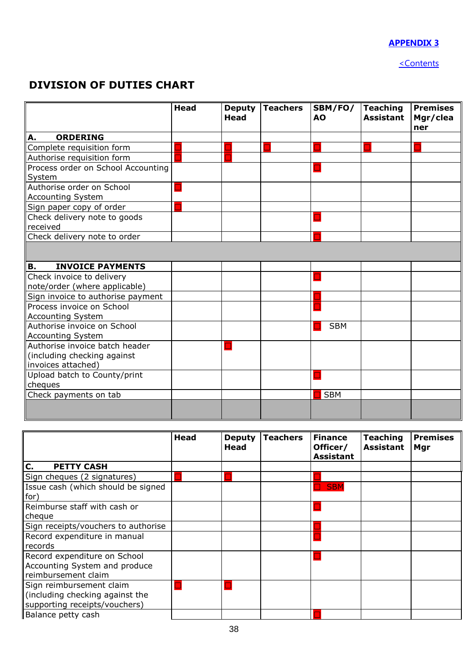#### <span id="page-36-0"></span>**APPENDIX 3**

[<Contents](#page-1-0)

### **DIVISION OF DUTIES CHART**

|                                              | <b>Head</b> | <b>Deputy</b><br><b>Head</b> | <b>Teachers</b> | SBM/FO/<br><b>AO</b> | <b>Teaching</b><br><b>Assistant</b> | <b>Premises</b><br>Mgr/clea |
|----------------------------------------------|-------------|------------------------------|-----------------|----------------------|-------------------------------------|-----------------------------|
|                                              |             |                              |                 |                      |                                     | ner                         |
| <b>ORDERING</b><br>А.                        |             |                              |                 |                      |                                     |                             |
| Complete requisition form                    |             |                              |                 |                      |                                     |                             |
| Authorise requisition form                   |             |                              |                 |                      |                                     |                             |
| Process order on School Accounting<br>System |             |                              |                 |                      |                                     |                             |
| Authorise order on School                    |             |                              |                 |                      |                                     |                             |
| <b>Accounting System</b>                     |             |                              |                 |                      |                                     |                             |
| Sign paper copy of order                     |             |                              |                 |                      |                                     |                             |
| Check delivery note to goods                 |             |                              |                 |                      |                                     |                             |
| received                                     |             |                              |                 |                      |                                     |                             |
| Check delivery note to order                 |             |                              |                 |                      |                                     |                             |
|                                              |             |                              |                 |                      |                                     |                             |
| <b>INVOICE PAYMENTS</b><br>В.                |             |                              |                 |                      |                                     |                             |
| Check invoice to delivery                    |             |                              |                 |                      |                                     |                             |
| note/order (where applicable)                |             |                              |                 |                      |                                     |                             |
| Sign invoice to authorise payment            |             |                              |                 |                      |                                     |                             |
| Process invoice on School                    |             |                              |                 |                      |                                     |                             |
| <b>Accounting System</b>                     |             |                              |                 |                      |                                     |                             |
| Authorise invoice on School                  |             |                              |                 | <b>SBM</b>           |                                     |                             |
| <b>Accounting System</b>                     |             |                              |                 |                      |                                     |                             |
| Authorise invoice batch header               |             |                              |                 |                      |                                     |                             |
| (including checking against                  |             |                              |                 |                      |                                     |                             |
| invoices attached)                           |             |                              |                 |                      |                                     |                             |
| Upload batch to County/print                 |             |                              |                 |                      |                                     |                             |
| cheques                                      |             |                              |                 |                      |                                     |                             |
| Check payments on tab                        |             |                              |                 | <b>SBM</b>           |                                     |                             |
|                                              |             |                              |                 |                      |                                     |                             |

|                                                                                              | <b>Head</b> | <b>Deputy</b><br><b>Head</b> | <b>Teachers</b> | <b>Finance</b><br>Officer/<br><b>Assistant</b> | <b>Teaching</b><br>Assistant | <b>Premises</b><br>Mgr |
|----------------------------------------------------------------------------------------------|-------------|------------------------------|-----------------|------------------------------------------------|------------------------------|------------------------|
| C.<br><b>PETTY CASH</b>                                                                      |             |                              |                 |                                                |                              |                        |
| Sign cheques (2 signatures)                                                                  |             |                              |                 |                                                |                              |                        |
| Issue cash (which should be signed<br>for)                                                   |             |                              |                 | $\square$ SBM                                  |                              |                        |
| Reimburse staff with cash or<br>cheque                                                       |             |                              |                 |                                                |                              |                        |
| Sign receipts/vouchers to authorise                                                          |             |                              |                 |                                                |                              |                        |
| Record expenditure in manual<br>records                                                      |             |                              |                 |                                                |                              |                        |
| Record expenditure on School<br>Accounting System and produce<br>reimbursement claim         |             |                              |                 |                                                |                              |                        |
| Sign reimbursement claim<br>(including checking against the<br>supporting receipts/vouchers) |             |                              |                 |                                                |                              |                        |
| Balance petty cash                                                                           |             |                              |                 |                                                |                              |                        |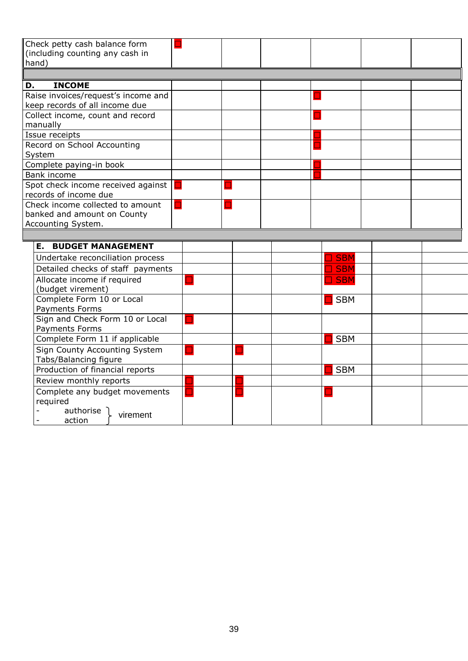| Check petty cash balance form<br>(including counting any cash in<br>hand)             |   |  |  |  |
|---------------------------------------------------------------------------------------|---|--|--|--|
|                                                                                       |   |  |  |  |
| D.<br><b>INCOME</b>                                                                   |   |  |  |  |
| Raise invoices/request's income and<br>keep records of all income due                 |   |  |  |  |
| Collect income, count and record<br>manually                                          |   |  |  |  |
| Issue receipts                                                                        |   |  |  |  |
| Record on School Accounting                                                           |   |  |  |  |
| System                                                                                |   |  |  |  |
| Complete paying-in book                                                               |   |  |  |  |
| Bank income                                                                           |   |  |  |  |
| Spot check income received against<br>records of income due                           | n |  |  |  |
| Check income collected to amount<br>banked and amount on County<br>Accounting System. |   |  |  |  |
|                                                                                       |   |  |  |  |
| Е.<br><b>BUDGET MANAGEMENT</b>                                                        |   |  |  |  |

| <b>BUDGET MANAGEMENT</b><br>Е.                                               |  |                 |  |
|------------------------------------------------------------------------------|--|-----------------|--|
| Undertake reconciliation process                                             |  | $\square$ SBM   |  |
| Detailed checks of staff payments                                            |  | $\Box$ SBM      |  |
| Allocate income if required<br>(budget virement)                             |  | $\mathsf I$ SBM |  |
| Complete Form 10 or Local<br>Payments Forms                                  |  | <b>SBM</b>      |  |
| Sign and Check Form 10 or Local<br>Payments Forms                            |  |                 |  |
| Complete Form 11 if applicable                                               |  | <b>SBM</b>      |  |
| Sign County Accounting System<br>Tabs/Balancing figure                       |  |                 |  |
| Production of financial reports                                              |  | <b>SBM</b>      |  |
| Review monthly reports                                                       |  |                 |  |
| Complete any budget movements<br>required<br>authorise<br>virement<br>action |  |                 |  |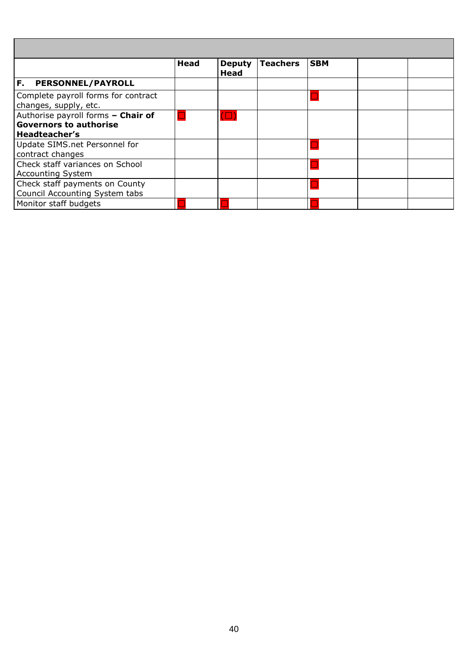|                                                              | Head | <b>Deputy</b><br>Head | <b>Teachers</b> | <b>SBM</b> |  |
|--------------------------------------------------------------|------|-----------------------|-----------------|------------|--|
| F.<br><b>PERSONNEL/PAYROLL</b>                               |      |                       |                 |            |  |
| Complete payroll forms for contract<br>changes, supply, etc. |      |                       |                 |            |  |
| Authorise payroll forms - Chair of                           |      | $\Box$                |                 |            |  |
| <b>Governors to authorise</b>                                |      |                       |                 |            |  |
| <b>Headteacher's</b>                                         |      |                       |                 |            |  |
| Update SIMS.net Personnel for                                |      |                       |                 |            |  |
| contract changes                                             |      |                       |                 |            |  |
| Check staff variances on School                              |      |                       |                 |            |  |
| <b>Accounting System</b>                                     |      |                       |                 |            |  |
| Check staff payments on County                               |      |                       |                 |            |  |
| Council Accounting System tabs                               |      |                       |                 |            |  |
| Monitor staff budgets                                        |      |                       |                 |            |  |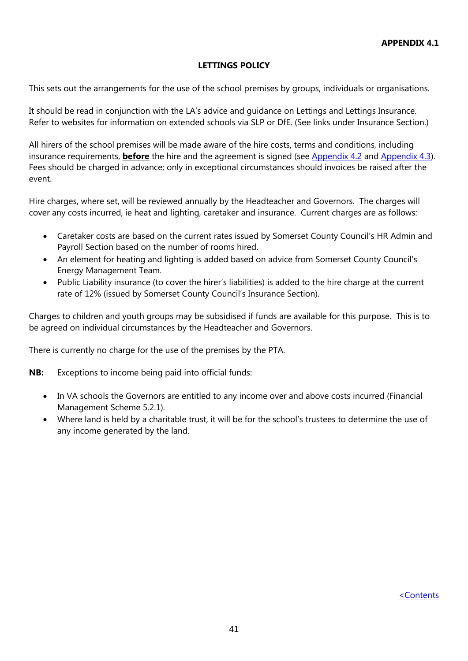#### **LETTINGS POLICY**

<span id="page-39-0"></span>This sets out the arrangements for the use of the school premises by groups, individuals or organisations.

It should be read in conjunction with the LA's advice and guidance on Lettings and Lettings Insurance. Refer to websites for information on extended schools via SLP or DfE. (See links under Insurance Section.)

All hirers of the school premises will be made aware of the hire costs, terms and conditions, including insurance requirements, **before** the hire and the agreement is signed (see [Appendix 4.2](#page-39-1) and [Appendix](#page-42-0) 4.3). Fees should be charged in advance; only in exceptional circumstances should invoices be raised after the event.

Hire charges, where set, will be reviewed annually by the Headteacher and Governors. The charges will cover any costs incurred, ie heat and lighting, caretaker and insurance. Current charges are as follows:

- Caretaker costs are based on the current rates issued by Somerset County Council's HR Admin and Payroll Section based on the number of rooms hired.
- An element for heating and lighting is added based on advice from Somerset County Council's Energy Management Team.
- Public Liability insurance (to cover the hirer's liabilities) is added to the hire charge at the current rate of 12% (issued by Somerset County Council's Insurance Section).

Charges to children and youth groups may be subsidised if funds are available for this purpose. This is to be agreed on individual circumstances by the Headteacher and Governors.

There is currently no charge for the use of the premises by the PTA.

**NB:** Exceptions to income being paid into official funds:

- In VA schools the Governors are entitled to any income over and above costs incurred (Financial Management Scheme 5.2.1).
- <span id="page-39-1"></span> Where land is held by a charitable trust, it will be for the school's trustees to determine the use of any income generated by the land.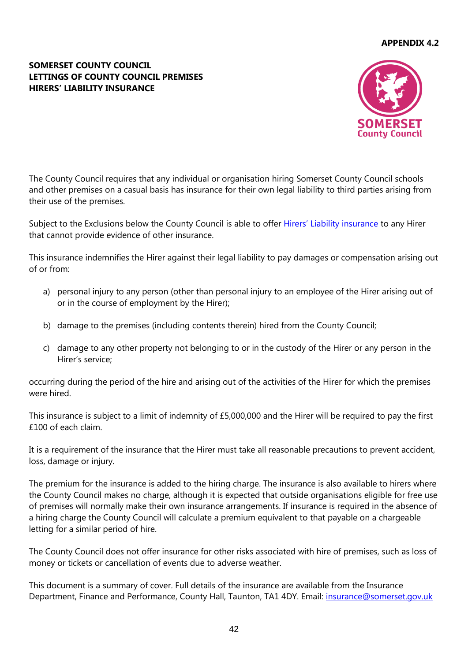#### **APPENDIX 4.2**

#### **SOMERSET COUNTY COUNCIL LETTINGS OF COUNTY COUNCIL PREMISES HIRERS' LIABILITY INSURANCE**



The County Council requires that any individual or organisation hiring Somerset County Council schools and other premises on a casual basis has insurance for their own legal liability to third parties arising from their use of the premises.

Subject to the Exclusions below the County Council is able to offer [Hirers' Liability insurance](https://slp.somerset.org.uk/sites/insurance/SitePages/Hirers%20Liability%20(Lettings%20Insurance).aspx) to any Hirer that cannot provide evidence of other insurance.

This insurance indemnifies the Hirer against their legal liability to pay damages or compensation arising out of or from:

- a) personal injury to any person (other than personal injury to an employee of the Hirer arising out of or in the course of employment by the Hirer);
- b) damage to the premises (including contents therein) hired from the County Council;
- c) damage to any other property not belonging to or in the custody of the Hirer or any person in the Hirer's service;

occurring during the period of the hire and arising out of the activities of the Hirer for which the premises were hired.

This insurance is subject to a limit of indemnity of £5,000,000 and the Hirer will be required to pay the first £100 of each claim.

It is a requirement of the insurance that the Hirer must take all reasonable precautions to prevent accident, loss, damage or injury.

The premium for the insurance is added to the hiring charge. The insurance is also available to hirers where the County Council makes no charge, although it is expected that outside organisations eligible for free use of premises will normally make their own insurance arrangements. If insurance is required in the absence of a hiring charge the County Council will calculate a premium equivalent to that payable on a chargeable letting for a similar period of hire.

The County Council does not offer insurance for other risks associated with hire of premises, such as loss of money or tickets or cancellation of events due to adverse weather.

This document is a summary of cover. Full details of the insurance are available from the Insurance Department, Finance and Performance, County Hall, Taunton, TA1 4DY. Email: [insurance@somerset.gov.uk](mailto:insurance@somerset.gov.uk)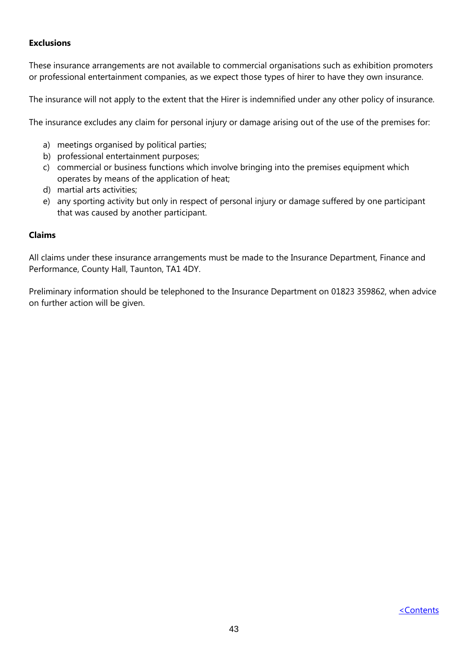#### **Exclusions**

These insurance arrangements are not available to commercial organisations such as exhibition promoters or professional entertainment companies, as we expect those types of hirer to have they own insurance.

The insurance will not apply to the extent that the Hirer is indemnified under any other policy of insurance.

The insurance excludes any claim for personal injury or damage arising out of the use of the premises for:

- a) meetings organised by political parties;
- b) professional entertainment purposes;
- c) commercial or business functions which involve bringing into the premises equipment which operates by means of the application of heat;
- d) martial arts activities;
- e) any sporting activity but only in respect of personal injury or damage suffered by one participant that was caused by another participant.

#### **Claims**

All claims under these insurance arrangements must be made to the Insurance Department, Finance and Performance, County Hall, Taunton, TA1 4DY.

Preliminary information should be telephoned to the Insurance Department on 01823 359862, when advice on further action will be given.

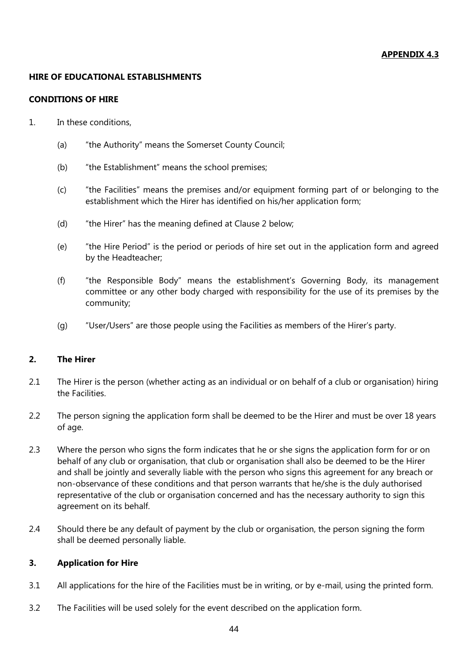#### <span id="page-42-0"></span>**HIRE OF EDUCATIONAL ESTABLISHMENTS**

#### **CONDITIONS OF HIRE**

- 1. In these conditions,
	- (a) "the Authority" means the Somerset County Council;
	- (b) "the Establishment" means the school premises;
	- (c) "the Facilities" means the premises and/or equipment forming part of or belonging to the establishment which the Hirer has identified on his/her application form;
	- (d) "the Hirer" has the meaning defined at Clause 2 below;
	- (e) "the Hire Period" is the period or periods of hire set out in the application form and agreed by the Headteacher;
	- (f) "the Responsible Body" means the establishment's Governing Body, its management committee or any other body charged with responsibility for the use of its premises by the community;
	- (g) "User/Users" are those people using the Facilities as members of the Hirer's party.

#### **2. The Hirer**

- 2.1 The Hirer is the person (whether acting as an individual or on behalf of a club or organisation) hiring the Facilities.
- 2.2 The person signing the application form shall be deemed to be the Hirer and must be over 18 years of age.
- 2.3 Where the person who signs the form indicates that he or she signs the application form for or on behalf of any club or organisation, that club or organisation shall also be deemed to be the Hirer and shall be jointly and severally liable with the person who signs this agreement for any breach or non-observance of these conditions and that person warrants that he/she is the duly authorised representative of the club or organisation concerned and has the necessary authority to sign this agreement on its behalf.
- 2.4 Should there be any default of payment by the club or organisation, the person signing the form shall be deemed personally liable.

#### **3. Application for Hire**

- 3.1 All applications for the hire of the Facilities must be in writing, or by e-mail, using the printed form.
- 3.2 The Facilities will be used solely for the event described on the application form.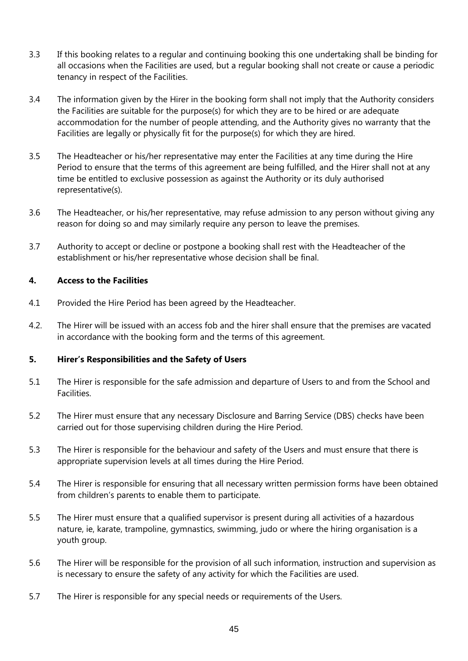- 3.3 If this booking relates to a regular and continuing booking this one undertaking shall be binding for all occasions when the Facilities are used, but a regular booking shall not create or cause a periodic tenancy in respect of the Facilities.
- 3.4 The information given by the Hirer in the booking form shall not imply that the Authority considers the Facilities are suitable for the purpose(s) for which they are to be hired or are adequate accommodation for the number of people attending, and the Authority gives no warranty that the Facilities are legally or physically fit for the purpose(s) for which they are hired.
- 3.5 The Headteacher or his/her representative may enter the Facilities at any time during the Hire Period to ensure that the terms of this agreement are being fulfilled, and the Hirer shall not at any time be entitled to exclusive possession as against the Authority or its duly authorised representative(s).
- 3.6 The Headteacher, or his/her representative, may refuse admission to any person without giving any reason for doing so and may similarly require any person to leave the premises.
- 3.7 Authority to accept or decline or postpone a booking shall rest with the Headteacher of the establishment or his/her representative whose decision shall be final.

#### **4. Access to the Facilities**

- 4.1 Provided the Hire Period has been agreed by the Headteacher.
- 4.2. The Hirer will be issued with an access fob and the hirer shall ensure that the premises are vacated in accordance with the booking form and the terms of this agreement.

#### **5. Hirer's Responsibilities and the Safety of Users**

- 5.1 The Hirer is responsible for the safe admission and departure of Users to and from the School and Facilities.
- 5.2 The Hirer must ensure that any necessary Disclosure and Barring Service (DBS) checks have been carried out for those supervising children during the Hire Period.
- 5.3 The Hirer is responsible for the behaviour and safety of the Users and must ensure that there is appropriate supervision levels at all times during the Hire Period.
- 5.4 The Hirer is responsible for ensuring that all necessary written permission forms have been obtained from children's parents to enable them to participate.
- <span id="page-43-0"></span>5.5 The Hirer must ensure that a qualified supervisor is present during all activities of a hazardous nature, ie, karate, trampoline, gymnastics, swimming, judo or where the hiring organisation is a youth group.
- 5.6 The Hirer will be responsible for the provision of all such information, instruction and supervision as is necessary to ensure the safety of any activity for which the Facilities are used.
- 5.7 The Hirer is responsible for any special needs or requirements of the Users.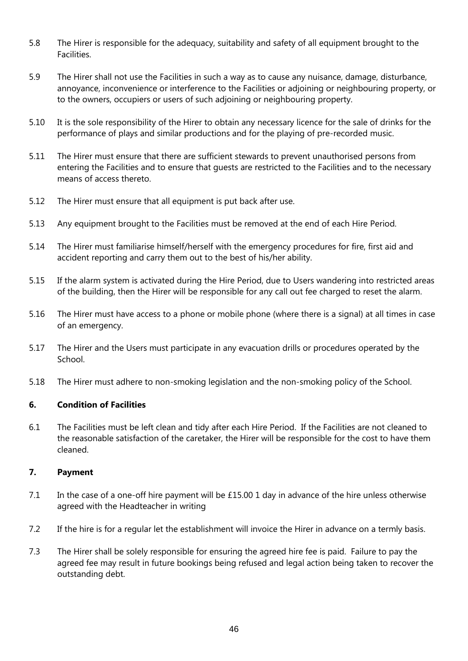- 5.8 The Hirer is responsible for the adequacy, suitability and safety of all equipment brought to the **Facilities**
- 5.9 The Hirer shall not use the Facilities in such a way as to cause any nuisance, damage, disturbance, annoyance, inconvenience or interference to the Facilities or adjoining or neighbouring property, or to the owners, occupiers or users of such adjoining or neighbouring property.
- 5.10 It is the sole responsibility of the Hirer to obtain any necessary licence for the sale of drinks for the performance of plays and similar productions and for the playing of pre-recorded music.
- 5.11 The Hirer must ensure that there are sufficient stewards to prevent unauthorised persons from entering the Facilities and to ensure that guests are restricted to the Facilities and to the necessary means of access thereto.
- 5.12 The Hirer must ensure that all equipment is put back after use.
- 5.13 Any equipment brought to the Facilities must be removed at the end of each Hire Period.
- 5.14 The Hirer must familiarise himself/herself with the emergency procedures for fire, first aid and accident reporting and carry them out to the best of his/her ability.
- 5.15 If the alarm system is activated during the Hire Period, due to Users wandering into restricted areas of the building, then the Hirer will be responsible for any call out fee charged to reset the alarm.
- 5.16 The Hirer must have access to a phone or mobile phone (where there is a signal) at all times in case of an emergency.
- 5.17 The Hirer and the Users must participate in any evacuation drills or procedures operated by the School.
- 5.18 The Hirer must adhere to non-smoking legislation and the non-smoking policy of the School.

#### **6. Condition of Facilities**

6.1 The Facilities must be left clean and tidy after each Hire Period. If the Facilities are not cleaned to the reasonable satisfaction of the caretaker, the Hirer will be responsible for the cost to have them cleaned.

#### **7. Payment**

- 7.1 In the case of a one-off hire payment will be £15.00 1 day in advance of the hire unless otherwise agreed with the Headteacher in writing
- 7.2 If the hire is for a regular let the establishment will invoice the Hirer in advance on a termly basis.
- 7.3 The Hirer shall be solely responsible for ensuring the agreed hire fee is paid. Failure to pay the agreed fee may result in future bookings being refused and legal action being taken to recover the outstanding debt.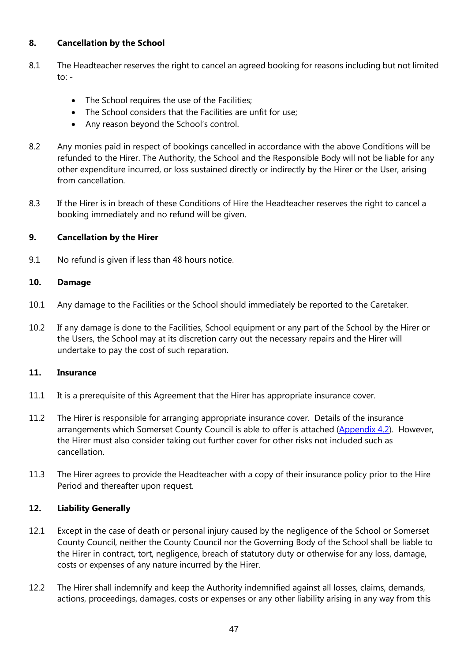#### **8. Cancellation by the School**

- 8.1 The Headteacher reserves the right to cancel an agreed booking for reasons including but not limited to: -
	- The School requires the use of the Facilities;
	- The School considers that the Facilities are unfit for use:
	- Any reason beyond the School's control.
- 8.2 Any monies paid in respect of bookings cancelled in accordance with the above Conditions will be refunded to the Hirer. The Authority, the School and the Responsible Body will not be liable for any other expenditure incurred, or loss sustained directly or indirectly by the Hirer or the User, arising from cancellation.
- 8.3 If the Hirer is in breach of these Conditions of Hire the Headteacher reserves the right to cancel a booking immediately and no refund will be given.

#### **9. Cancellation by the Hirer**

9.1 No refund is given if less than 48 hours notice.

#### **10. Damage**

- 10.1 Any damage to the Facilities or the School should immediately be reported to the Caretaker.
- 10.2 If any damage is done to the Facilities, School equipment or any part of the School by the Hirer or the Users, the School may at its discretion carry out the necessary repairs and the Hirer will undertake to pay the cost of such reparation.

#### **11. Insurance**

- 11.1 It is a prerequisite of this Agreement that the Hirer has appropriate insurance cover.
- 11.2 The Hirer is responsible for arranging appropriate insurance cover. Details of the insurance arrangements which Somerset County Council is able to offer is attached [\(Appendix 4.2\)](#page-39-1). However, the Hirer must also consider taking out further cover for other risks not included such as cancellation.
- <span id="page-45-0"></span>11.3 The Hirer agrees to provide the Headteacher with a copy of their insurance policy prior to the Hire Period and thereafter upon request.

#### **12. Liability Generally**

- 12.1 Except in the case of death or personal injury caused by the negligence of the School or Somerset County Council, neither the County Council nor the Governing Body of the School shall be liable to the Hirer in contract, tort, negligence, breach of statutory duty or otherwise for any loss, damage, costs or expenses of any nature incurred by the Hirer.
- 12.2 The Hirer shall indemnify and keep the Authority indemnified against all losses, claims, demands, actions, proceedings, damages, costs or expenses or any other liability arising in any way from this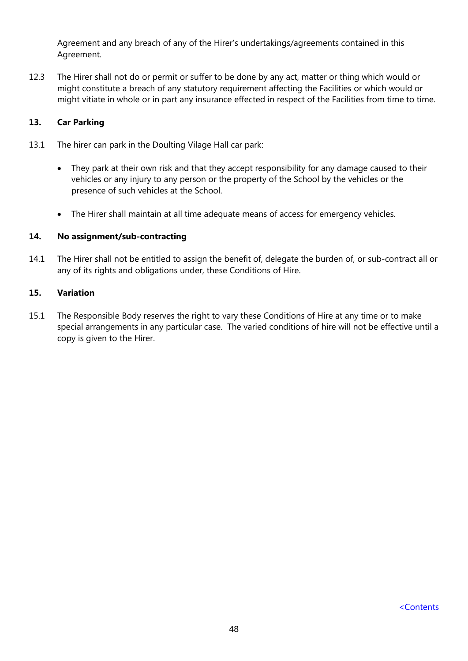Agreement and any breach of any of the Hirer's undertakings/agreements contained in this Agreement.

12.3 The Hirer shall not do or permit or suffer to be done by any act, matter or thing which would or might constitute a breach of any statutory requirement affecting the Facilities or which would or might vitiate in whole or in part any insurance effected in respect of the Facilities from time to time.

#### **13. Car Parking**

- 13.1 The hirer can park in the Doulting Vilage Hall car park:
	- They park at their own risk and that they accept responsibility for any damage caused to their vehicles or any injury to any person or the property of the School by the vehicles or the presence of such vehicles at the School.
	- The Hirer shall maintain at all time adequate means of access for emergency vehicles.

#### **14. No assignment/sub-contracting**

14.1 The Hirer shall not be entitled to assign the benefit of, delegate the burden of, or sub-contract all or any of its rights and obligations under, these Conditions of Hire.

#### **15. Variation**

15.1 The Responsible Body reserves the right to vary these Conditions of Hire at any time or to make special arrangements in any particular case. The varied conditions of hire will not be effective until a copy is given to the Hirer.

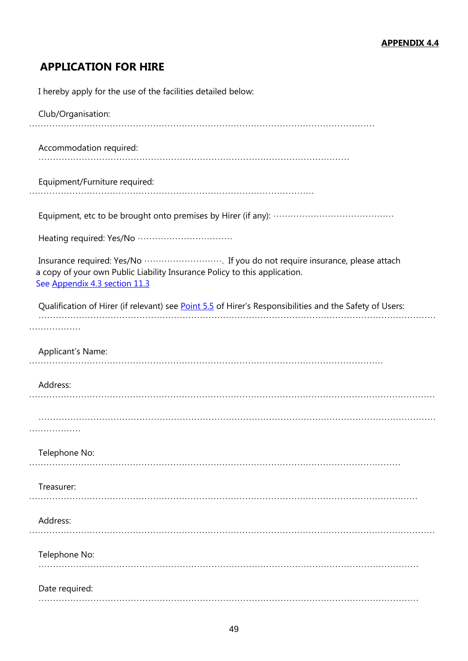### <span id="page-47-0"></span>**APPLICATION FOR HIRE**

I hereby apply for the use of the facilities detailed below:

| Club/Organisation:                                                                                         |
|------------------------------------------------------------------------------------------------------------|
| Accommodation required:                                                                                    |
| Equipment/Furniture required:                                                                              |
|                                                                                                            |
|                                                                                                            |
|                                                                                                            |
| a copy of your own Public Liability Insurance Policy to this application.<br>See Appendix 4.3 section 11.3 |
| Qualification of Hirer (if relevant) see Point 5.5 of Hirer's Responsibilities and the Safety of Users:    |
|                                                                                                            |
| Applicant's Name:                                                                                          |
| Address:                                                                                                   |
|                                                                                                            |
|                                                                                                            |
| Telephone No:                                                                                              |
| Treasurer:                                                                                                 |
| Address:                                                                                                   |
|                                                                                                            |
| Telephone No:                                                                                              |
| Date required:                                                                                             |
|                                                                                                            |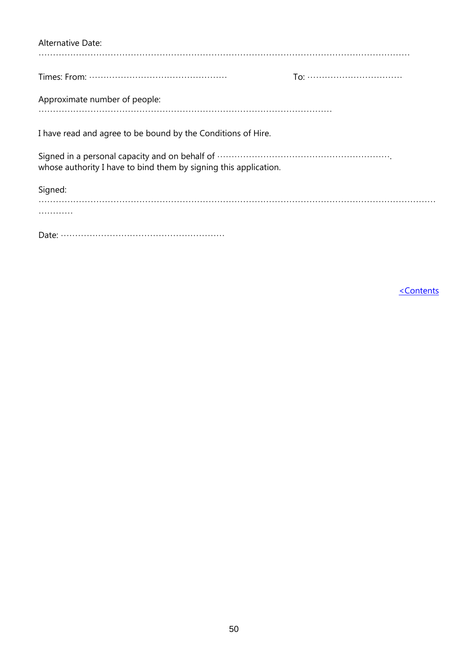| Alternative Date:                                                |  |
|------------------------------------------------------------------|--|
|                                                                  |  |
| Approximate number of people:                                    |  |
| I have read and agree to be bound by the Conditions of Hire.     |  |
| whose authority I have to bind them by signing this application. |  |
| Signed:                                                          |  |
|                                                                  |  |
|                                                                  |  |

[<Contents](#page-1-0)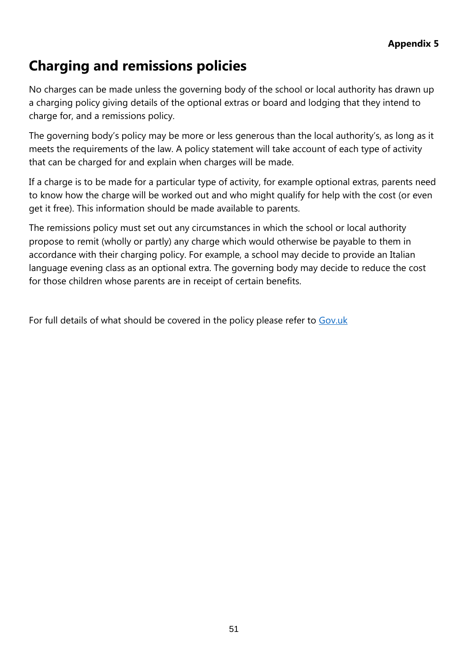## <span id="page-49-0"></span>**Charging and remissions policies**

No charges can be made unless the governing body of the school or local authority has drawn up a charging policy giving details of the optional extras or board and lodging that they intend to charge for, and a remissions policy.

The governing body's policy may be more or less generous than the local authority's, as long as it meets the requirements of the law. A policy statement will take account of each type of activity that can be charged for and explain when charges will be made.

If a charge is to be made for a particular type of activity, for example optional extras, parents need to know how the charge will be worked out and who might qualify for help with the cost (or even get it free). This information should be made available to parents.

The remissions policy must set out any circumstances in which the school or local authority propose to remit (wholly or partly) any charge which would otherwise be payable to them in accordance with their charging policy. For example, a school may decide to provide an Italian language evening class as an optional extra. The governing body may decide to reduce the cost for those children whose parents are in receipt of certain benefits.

For full details of what should be covered in the policy please refer to [Gov.uk](https://www.gov.uk/government/publications/charging-for-school-activities)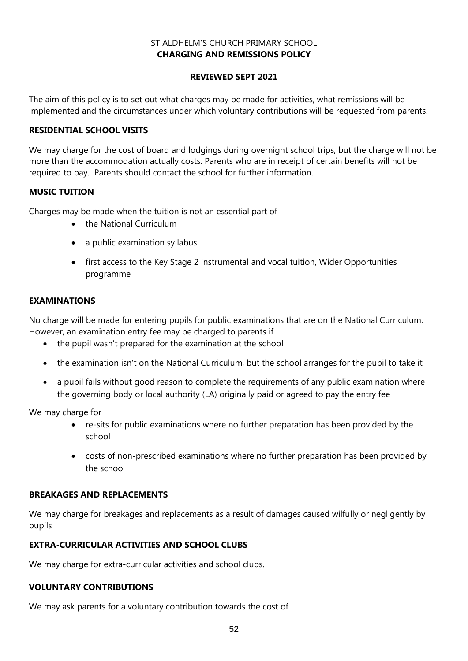#### ST ALDHELM'S CHURCH PRIMARY SCHOOL **CHARGING AND REMISSIONS POLICY**

#### **REVIEWED SEPT 2021**

The aim of this policy is to set out what charges may be made for activities, what remissions will be implemented and the circumstances under which voluntary contributions will be requested from parents.

#### **RESIDENTIAL SCHOOL VISITS**

We may charge for the cost of board and lodgings during overnight school trips, but the charge will not be more than the accommodation actually costs. Parents who are in receipt of certain benefits will not be required to pay. Parents should contact the school for further information.

#### **MUSIC TUITION**

Charges may be made when the tuition is not an essential part of

- the National Curriculum
- a public examination syllabus
- first access to the Key Stage 2 instrumental and vocal tuition, Wider Opportunities programme

#### **EXAMINATIONS**

No charge will be made for entering pupils for public examinations that are on the National Curriculum. However, an examination entry fee may be charged to parents if

- the pupil wasn't prepared for the examination at the school
- the examination isn't on the National Curriculum, but the school arranges for the pupil to take it
- a pupil fails without good reason to complete the requirements of any public examination where the governing body or local authority (LA) originally paid or agreed to pay the entry fee

We may charge for

- re-sits for public examinations where no further preparation has been provided by the school
- costs of non-prescribed examinations where no further preparation has been provided by the school

#### **BREAKAGES AND REPLACEMENTS**

We may charge for breakages and replacements as a result of damages caused wilfully or negligently by pupils

#### **EXTRA-CURRICULAR ACTIVITIES AND SCHOOL CLUBS**

We may charge for extra-curricular activities and school clubs.

#### **VOLUNTARY CONTRIBUTIONS**

We may ask parents for a voluntary contribution towards the cost of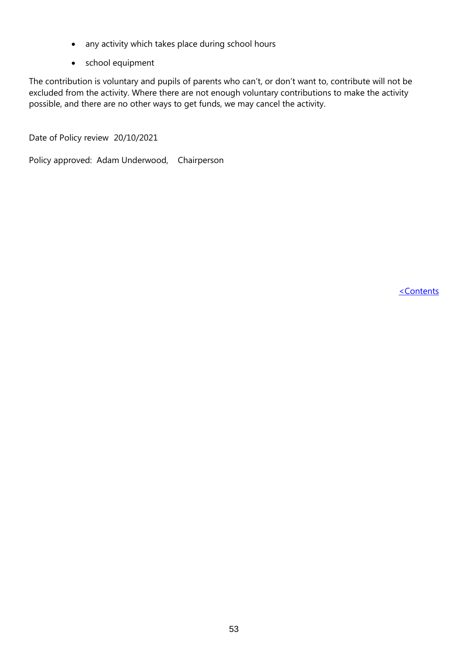- any activity which takes place during school hours
- school equipment

The contribution is voluntary and pupils of parents who can't, or don't want to, contribute will not be excluded from the activity. Where there are not enough voluntary contributions to make the activity possible, and there are no other ways to get funds, we may cancel the activity.

Date of Policy review 20/10/2021

Policy approved: Adam Underwood, Chairperson

[<Contents](#page-1-0)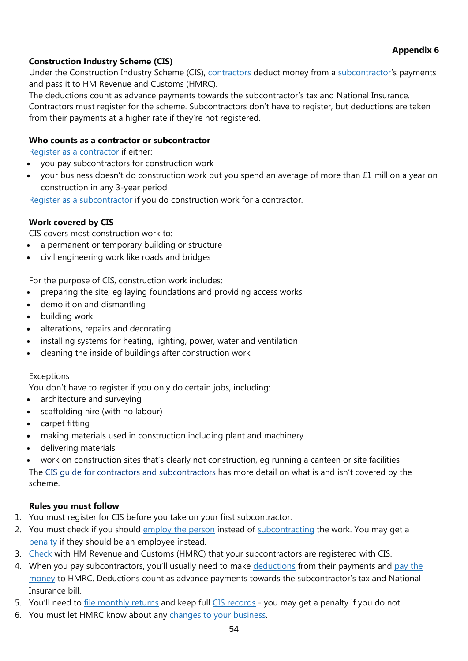#### **Appendix 6**

#### <span id="page-52-0"></span>**Construction Industry Scheme (CIS)**

Under the Construction Industry Scheme (CIS), [contractors](https://www.gov.uk/what-you-must-do-as-a-cis-contractor) deduct money from a [subcontractor](https://www.gov.uk/what-you-must-do-as-a-cis-subcontractor)'s payments and pass it to HM Revenue and Customs (HMRC).

The deductions count as advance payments towards the subcontractor's tax and National Insurance. Contractors must register for the scheme. Subcontractors don't have to register, but deductions are taken from their payments at a higher rate if they're not registered.

#### **Who counts as a contractor or subcontractor**

Register as a [contractor](https://www.gov.uk/what-you-must-do-as-a-cis-contractor/how-to-register) if either:

- you pay subcontractors for construction work
- your business doesn't do construction work but you spend an average of more than £1 million a year on construction in any 3-year period

Register as a [subcontractor](https://www.gov.uk/what-you-must-do-as-a-cis-subcontractor/how-to-register) if you do construction work for a contractor.

#### **Work covered by CIS**

CIS covers most construction work to:

- a permanent or temporary building or structure
- civil engineering work like roads and bridges

For the purpose of CIS, construction work includes:

- preparing the site, eg laying foundations and providing access works
- demolition and dismantling
- building work
- alterations, repairs and decorating
- installing systems for heating, lighting, power, water and ventilation
- cleaning the inside of buildings after construction work

#### Exceptions

You don't have to register if you only do certain jobs, including:

- architecture and surveying
- scaffolding hire (with no labour)
- carpet fitting
- making materials used in construction including plant and machinery
- delivering materials
- work on construction sites that's clearly not construction, eg running a canteen or site facilities The CIS guide for contractors and [subcontractors](https://www.gov.uk/government/publications/construction-industry-scheme-cis-340) has more detail on what is and isn't covered by the scheme.

#### **Rules you must follow**

- 1. You must register for CIS before you take on your first subcontractor.
- 2. You must check if you should [employ](https://www.gov.uk/employment-status/employee) the person instead of [subcontracting](https://www.gov.uk/employment-status/selfemployed-contractor) the work. You may get a [penalty](https://www.gov.uk/what-you-must-do-as-a-cis-contractor/file-your-monthly-returns) if they should be an employee instead.
- 3. [Check](https://www.gov.uk/what-you-must-do-as-a-cis-contractor/verify-subcontractors) with HM Revenue and Customs (HMRC) that your subcontractors are registered with CIS.
- 4. When you pay subcontractors, you'll usually need to make [deductions](https://www.gov.uk/what-you-must-do-as-a-cis-contractor/make-deductions-and-pay-subcontractors) from their [pay](https://www.gov.uk/what-you-must-do-as-a-cis-contractor/pay-deductions-to-hmrc)ments and pay the [money](https://www.gov.uk/what-you-must-do-as-a-cis-contractor/pay-deductions-to-hmrc) to HMRC. Deductions count as advance payments towards the subcontractor's tax and National Insurance bill.
- 5. You'll need to file [monthly](https://www.gov.uk/what-you-must-do-as-a-cis-contractor/file-your-monthly-returns) returns and keep full CIS [records](https://www.gov.uk/what-you-must-do-as-a-cis-contractor/record-keeping) you may get a penalty if you do not.
- 6. You must let HMRC know about any changes to your [business.](https://www.gov.uk/what-you-must-do-as-a-cis-contractor/tell-hmrc-about-changes)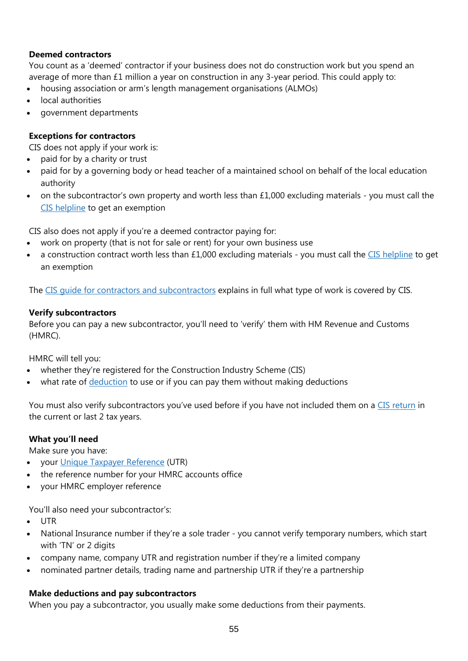#### **Deemed contractors**

You count as a 'deemed' contractor if your business does not do construction work but you spend an average of more than £1 million a year on construction in any 3-year period. This could apply to:

- housing association or arm's length management organisations (ALMOs)
- local authorities
- government departments

#### **Exceptions for contractors**

CIS does not apply if your work is:

- paid for by a charity or trust
- paid for by a governing body or head teacher of a maintained school on behalf of the local education authority
- on the subcontractor's own property and worth less than £1,000 excluding materials you must call the CIS [helpline](https://www.gov.uk/government/organisations/hm-revenue-customs/contact/construction-industry-scheme) to get an exemption

CIS also does not apply if you're a deemed contractor paying for:

- work on property (that is not for sale or rent) for your own business use
- a construction contract worth less than £1,000 excluding materials you must call the CIS [helpline](https://www.gov.uk/government/organisations/hm-revenue-customs/contact/construction-industry-scheme) to get an exemption

The CIS guide for contractors and [subcontractors](https://www.gov.uk/government/publications/construction-industry-scheme-cis-340) explains in full what type of work is covered by CIS.

#### **Verify subcontractors**

Before you can pay a new subcontractor, you'll need to 'verify' them with HM Revenue and Customs (HMRC).

HMRC will tell you:

- whether they're registered for the Construction Industry Scheme (CIS)
- what rate of [deduction](https://www.gov.uk/what-you-must-do-as-a-cis-contractor/make-deductions-and-pay-subcontractors) to use or if you can pay them without making deductions

You must also verify subcontractors you've used before if you have not included them on a CIS [return](https://www.gov.uk/what-you-must-do-as-a-cis-contractor/file-your-monthly-returns) in the current or last 2 tax years.

#### **What you'll need**

Make sure you have:

- your Unique Taxpayer [Reference](https://www.gov.uk/find-lost-utr-number) (UTR)
- the reference number for your HMRC accounts office
- your HMRC employer reference

You'll also need your subcontractor's:

- UTR
- National Insurance number if they're a sole trader you cannot verify temporary numbers, which start with 'TN' or 2 digits
- company name, company UTR and registration number if they're a limited company
- nominated partner details, trading name and partnership UTR if they're a partnership

#### **Make deductions and pay subcontractors**

When you pay a subcontractor, you usually make some deductions from their payments.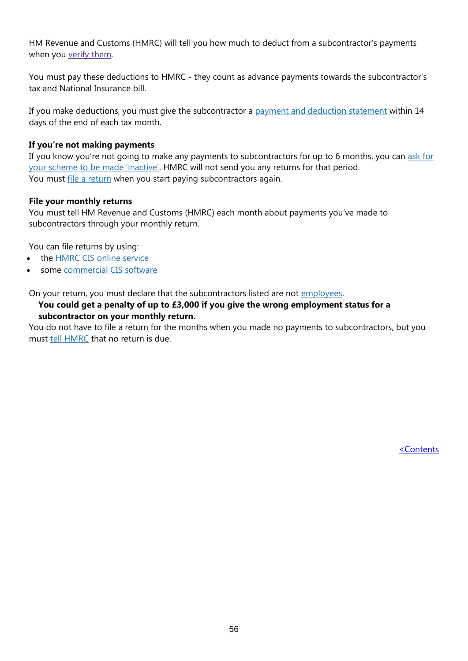HM Revenue and Customs (HMRC) will tell you how much to deduct from a subcontractor's payments when you [verify](https://www.gov.uk/what-you-must-do-as-a-cis-contractor/verify-subcontractors) them.

You must pay these deductions to HMRC - they count as advance payments towards the subcontractor's tax and National Insurance bill.

If you make [deduction](https://www.gov.uk/government/publications/construction-industry-scheme-payment-and-deduction-certificate)s, you must give the subcontractor a payment and deduction statement within 14 days of the end of each tax month.

#### **If you're not making payments**

If you know you're not going to make any payments to subcontractors for up to 6 months, you can [ask](https://www.gov.uk/use-construction-industry-scheme-online) for your scheme to be made ['inactive'](https://www.gov.uk/use-construction-industry-scheme-online). HMRC will not send you any returns for that period. You must file a [return](https://www.gov.uk/what-you-must-do-as-a-cis-contractor/file-your-monthly-returns) when you start paying subcontractors again.

#### **File your monthly returns**

You must tell HM Revenue and Customs (HMRC) each month about payments you've made to subcontractors through your monthly return.

You can file returns by using:

- the [HMRC](https://www.gov.uk/use-construction-industry-scheme-online) CIS online service
- some [commercial](https://www.gov.uk/government/publications/construction-industry-scheme-cis-commercial-software-suppliers) CIS software

On your return, you must declare that the subcontractors listed are not [employees.](https://www.gov.uk/employment-status/employee)

**You could get a penalty of up to £3,000 if you give the wrong employment status for a subcontractor on your monthly return.**

You do not have to file a return for the months when you made no payments to subcontractors, but you must tell [HMRC](https://www.gov.uk/government/organisations/hm-revenue-customs/contact/construction-industry-scheme) that no return is due.

[<Contents](#page-1-0)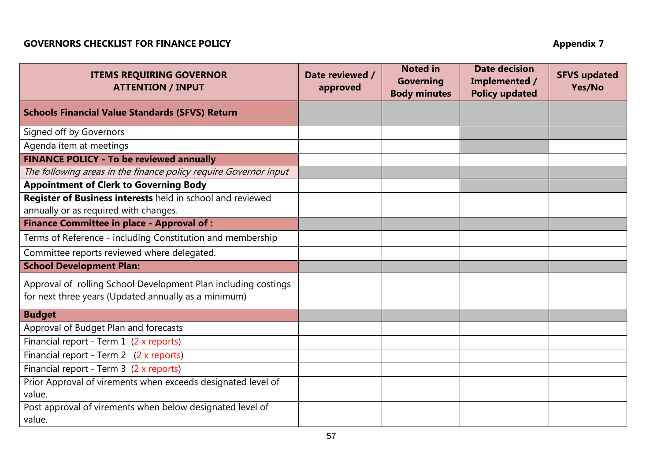### **GOVERNORS CHECKLIST FOR FINANCE POLICY Appendix 7 Appendix 7**

<span id="page-55-1"></span><span id="page-55-0"></span>

| <b>ITEMS REQUIRING GOVERNOR</b><br><b>ATTENTION / INPUT</b>                                                            | Date reviewed /<br>approved | <b>Noted in</b><br><b>Governing</b><br><b>Body minutes</b> | <b>Date decision</b><br><b>Implemented /</b><br><b>Policy updated</b> | <b>SFVS updated</b><br>Yes/No |
|------------------------------------------------------------------------------------------------------------------------|-----------------------------|------------------------------------------------------------|-----------------------------------------------------------------------|-------------------------------|
| <b>Schools Financial Value Standards (SFVS) Return</b>                                                                 |                             |                                                            |                                                                       |                               |
| Signed off by Governors                                                                                                |                             |                                                            |                                                                       |                               |
| Agenda item at meetings                                                                                                |                             |                                                            |                                                                       |                               |
| <b>FINANCE POLICY - To be reviewed annually</b>                                                                        |                             |                                                            |                                                                       |                               |
| The following areas in the finance policy require Governor input                                                       |                             |                                                            |                                                                       |                               |
| <b>Appointment of Clerk to Governing Body</b>                                                                          |                             |                                                            |                                                                       |                               |
| Register of Business interests held in school and reviewed                                                             |                             |                                                            |                                                                       |                               |
| annually or as required with changes.                                                                                  |                             |                                                            |                                                                       |                               |
| <b>Finance Committee in place - Approval of :</b>                                                                      |                             |                                                            |                                                                       |                               |
| Terms of Reference - including Constitution and membership                                                             |                             |                                                            |                                                                       |                               |
| Committee reports reviewed where delegated.                                                                            |                             |                                                            |                                                                       |                               |
| <b>School Development Plan:</b>                                                                                        |                             |                                                            |                                                                       |                               |
| Approval of rolling School Development Plan including costings<br>for next three years (Updated annually as a minimum) |                             |                                                            |                                                                       |                               |
| <b>Budget</b>                                                                                                          |                             |                                                            |                                                                       |                               |
| Approval of Budget Plan and forecasts                                                                                  |                             |                                                            |                                                                       |                               |
| Financial report - Term 1 (2 x reports)                                                                                |                             |                                                            |                                                                       |                               |
| Financial report - Term 2 (2 x reports)                                                                                |                             |                                                            |                                                                       |                               |
| Financial report - Term 3 (2 x reports)                                                                                |                             |                                                            |                                                                       |                               |
| Prior Approval of virements when exceeds designated level of<br>value.                                                 |                             |                                                            |                                                                       |                               |
| Post approval of virements when below designated level of<br>value.                                                    |                             |                                                            |                                                                       |                               |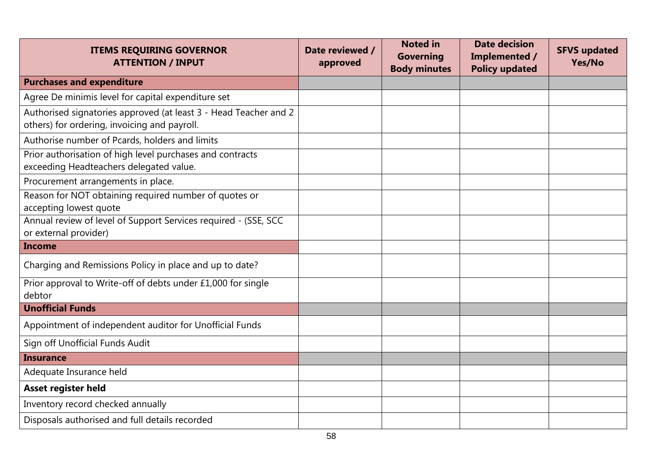| <b>ITEMS REQUIRING GOVERNOR</b><br><b>ATTENTION / INPUT</b>                                                      | Date reviewed /<br>approved | <b>Noted in</b><br><b>Governing</b><br><b>Body minutes</b> | <b>Date decision</b><br><b>Implemented /</b><br><b>Policy updated</b> | <b>SFVS updated</b><br>Yes/No |
|------------------------------------------------------------------------------------------------------------------|-----------------------------|------------------------------------------------------------|-----------------------------------------------------------------------|-------------------------------|
| <b>Purchases and expenditure</b>                                                                                 |                             |                                                            |                                                                       |                               |
| Agree De minimis level for capital expenditure set                                                               |                             |                                                            |                                                                       |                               |
| Authorised signatories approved (at least 3 - Head Teacher and 2<br>others) for ordering, invoicing and payroll. |                             |                                                            |                                                                       |                               |
| Authorise number of Pcards, holders and limits                                                                   |                             |                                                            |                                                                       |                               |
| Prior authorisation of high level purchases and contracts<br>exceeding Headteachers delegated value.             |                             |                                                            |                                                                       |                               |
| Procurement arrangements in place.                                                                               |                             |                                                            |                                                                       |                               |
| Reason for NOT obtaining required number of quotes or<br>accepting lowest quote                                  |                             |                                                            |                                                                       |                               |
| Annual review of level of Support Services required - (SSE, SCC<br>or external provider)                         |                             |                                                            |                                                                       |                               |
| <b>Income</b>                                                                                                    |                             |                                                            |                                                                       |                               |
| Charging and Remissions Policy in place and up to date?                                                          |                             |                                                            |                                                                       |                               |
| Prior approval to Write-off of debts under £1,000 for single<br>debtor                                           |                             |                                                            |                                                                       |                               |
| <b>Unofficial Funds</b>                                                                                          |                             |                                                            |                                                                       |                               |
| Appointment of independent auditor for Unofficial Funds                                                          |                             |                                                            |                                                                       |                               |
| Sign off Unofficial Funds Audit                                                                                  |                             |                                                            |                                                                       |                               |
| <b>Insurance</b>                                                                                                 |                             |                                                            |                                                                       |                               |
| Adequate Insurance held                                                                                          |                             |                                                            |                                                                       |                               |
| Asset register held                                                                                              |                             |                                                            |                                                                       |                               |
| Inventory record checked annually                                                                                |                             |                                                            |                                                                       |                               |
| Disposals authorised and full details recorded                                                                   |                             |                                                            |                                                                       |                               |